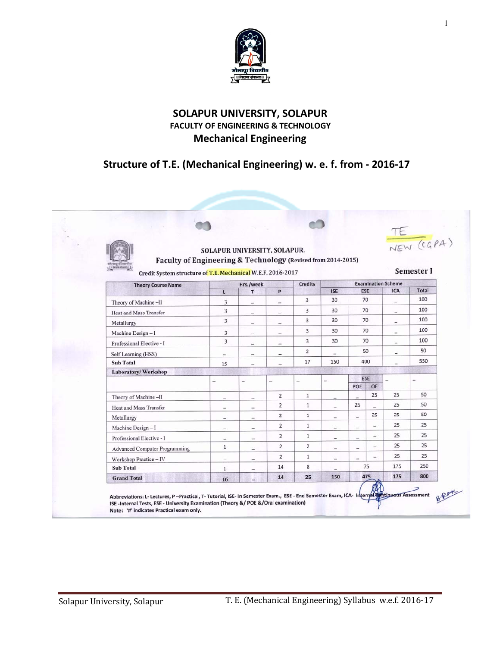

#### **SOLAPUR UNIVERSITY, SOLAPUR FACULTY OF ENGINEERING & TECHNOLOGY Mechanical Engineering**

### **Structure of T.E. (Mechanical Engineering) w. e. f. from ‐ 2016‐17**

| Faculty of Engineering & Technology (Revised from 2014-2015) | SOLAPUR UNIVERSITY, SOLAPUR. |                          |                          |                          |                          |                          |                          | TE<br>NEW (CGPA)          |                          |
|--------------------------------------------------------------|------------------------------|--------------------------|--------------------------|--------------------------|--------------------------|--------------------------|--------------------------|---------------------------|--------------------------|
| Credit System structure of T.E. Mechanical W.E.F. 2016-2017  |                              |                          |                          |                          |                          |                          |                          |                           | Semester I               |
| <b>Theory Course Name</b>                                    |                              | Hrs./week                |                          | <b>Credits</b>           |                          |                          |                          | <b>Examination Scheme</b> |                          |
|                                                              | $\mathsf{L}$                 | T                        | P                        |                          | <b>ISE</b>               | <b>ESE</b>               |                          | <b>ICA</b>                | Total                    |
| Theory of Machine-II                                         | 3                            | $\overline{\phantom{a}}$ | $\overline{\phantom{a}}$ | 3                        | 30                       | 70                       |                          | $\overline{\phantom{a}}$  | 100                      |
| <b>Heat and Mass Transfer</b>                                | $\overline{\mathbf{3}}$      | -                        | $\equiv$                 | 3                        | 30                       | 70                       |                          | $\sim$                    | 100                      |
| Metallurgy                                                   | 3                            | $\overline{\phantom{0}}$ | $\overline{\phantom{a}}$ | 3                        | 30                       | 70                       |                          | $\overline{\phantom{0}}$  | 100                      |
| Machine Design-I                                             | 3                            | $\overline{\phantom{0}}$ | $\overline{\phantom{a}}$ | 3                        | 30                       | 70                       |                          | $\overline{\phantom{a}}$  | 100                      |
| Professional Elective - I                                    | $\overline{3}$               | $\overline{\phantom{0}}$ | $\frac{1}{2}$            | 3                        | 30                       | 70                       |                          | $\overline{\phantom{m}}$  | 100                      |
| Self Learning (HSS)                                          | $\sim$                       | $\overline{\phantom{a}}$ | -                        | $\overline{2}$           | -                        |                          | 50                       | $\frac{1}{2}$             | 50                       |
| <b>Sub Total</b>                                             | 15                           | $\overline{\phantom{a}}$ | $\overline{\phantom{0}}$ | 17                       | 150                      |                          | 400                      | $\rightarrow$             | 550                      |
| Laboratory/Workshop                                          |                              |                          |                          |                          |                          |                          |                          |                           |                          |
|                                                              |                              | $\overline{\phantom{a}}$ | $\frac{1}{2}$            | $\overline{\phantom{0}}$ | $\frac{1}{2}$            | POE                      | <b>ESE</b><br>OE         |                           | $\overline{\phantom{a}}$ |
| Theory of Machine-II                                         | $\overline{\phantom{0}}$     | $\overline{\phantom{a}}$ | $\overline{2}$           | 1                        | $\overline{\phantom{a}}$ |                          | 25                       | 25                        | 50                       |
| Heat and Mass Transfer                                       | $\overline{\phantom{a}}$     | $\overline{\phantom{a}}$ | $\overline{2}$           | $\mathbf{1}$             | $\overline{\phantom{m}}$ | 25                       |                          | 25                        | 50                       |
| Metallurgy                                                   | $-$                          |                          | $\overline{2}$           | $\mathbf{1}$             | $\overline{\phantom{0}}$ | $\overline{\phantom{a}}$ | 25                       | 25                        | 50                       |
| Machine Design-I                                             | $\rightarrow$                | $\overline{\phantom{a}}$ | $\overline{2}$           | 1                        | $\frac{1}{2}$            | ÷                        | ÷                        | 25                        | 25                       |
| Professional Elective - I                                    | $\overline{\phantom{0}}$     | $\overline{\phantom{a}}$ | 2                        | $\mathbf{1}$             | $\overline{\phantom{a}}$ | $\overline{\phantom{a}}$ | $\overline{\phantom{0}}$ | 25                        | 25                       |
| <b>Advanced Computer Programming</b>                         | $\mathbf{1}$                 | ÷                        | $\overline{2}$           | 2                        | $\overline{\phantom{a}}$ | $\overline{\phantom{a}}$ |                          | 25                        | 25                       |
| Workshop Practice - IV                                       |                              | -                        | $\overline{2}$           | $\mathbf{1}$             | $\overline{\phantom{m}}$ | $\overline{\phantom{0}}$ | Ξ,                       | 25                        | 25                       |
| <b>Sub Total</b>                                             | $\mathbf{1}$                 | $\overline{a}$           | 14                       | 8                        | $\overline{\phantom{0}}$ |                          | 75                       | 175                       | 250                      |
| <b>Grand Total</b>                                           | 16                           | a.                       | 14                       | 25                       | 150                      |                          | 475                      | 175                       | 800                      |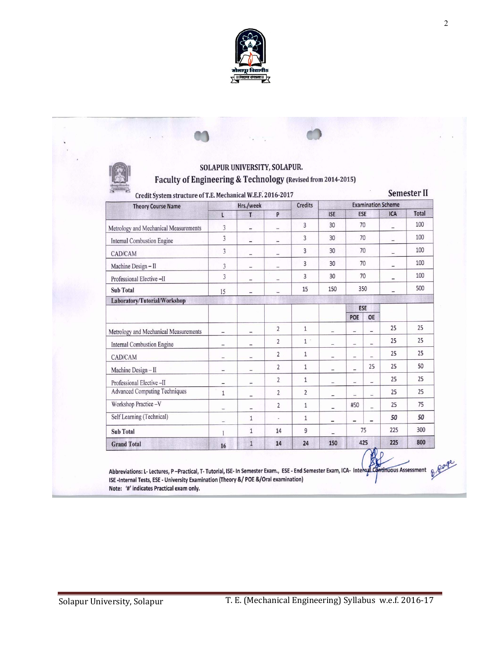

| Faculty of Engineering & Technology (Revised from 2014-2015)<br>Credit System structure of T.E. Mechanical W.E.F. 2016-2017 |                          | SOLAPUR UNIVERSITY, SOLAPUR. |                          |                |                          |                   |                          | <b>Semester II</b>        |              |
|-----------------------------------------------------------------------------------------------------------------------------|--------------------------|------------------------------|--------------------------|----------------|--------------------------|-------------------|--------------------------|---------------------------|--------------|
| <b>Theory Course Name</b>                                                                                                   |                          | Hrs./week                    |                          | <b>Credits</b> |                          |                   |                          | <b>Examination Scheme</b> |              |
|                                                                                                                             | $\mathsf{L}$             | T                            | P                        |                | <b>ISE</b>               | <b>ESE</b>        |                          | <b>ICA</b>                | <b>Total</b> |
| Metrology and Mechanical Measurements                                                                                       | $\overline{3}$           | i.                           | $\overline{\phantom{a}}$ | 3              | 30                       | 70                |                          | ٠                         | 100          |
| <b>Internal Combustion Engine</b>                                                                                           | $\overline{3}$           | $\frac{1}{2}$                | $\overline{\phantom{0}}$ | 3              | 30                       | 70                |                          |                           | 100          |
| CAD/CAM                                                                                                                     | $\overline{3}$           | $\overline{a}$               | $\overline{\phantom{a}}$ | $\overline{3}$ | 30                       | 70                |                          | ⋍                         | 100          |
| Machine Design-II                                                                                                           | $\mathfrak{Z}$           |                              |                          | $\overline{3}$ | 30                       | 70                |                          | $\overline{\phantom{0}}$  | 100          |
| Professional Elective-II                                                                                                    | $\overline{3}$           | $\equiv$                     | $\qquad \qquad$          | $\overline{3}$ | 30                       | 70                |                          | $\overline{\phantom{a}}$  | 100          |
| <b>Sub Total</b>                                                                                                            | 15                       |                              |                          | 15             | 150                      |                   | 350                      |                           | 500          |
| Laboratory/Tutorial/Workshop                                                                                                |                          |                              |                          |                |                          |                   |                          |                           |              |
|                                                                                                                             |                          |                              |                          |                |                          | <b>ESE</b><br>POE | OE                       |                           |              |
| Metrology and Mechanical Measurements                                                                                       | $\overline{a}$           | -                            | $\overline{2}$           | $1\,$          |                          | -                 | $\qquad \qquad -$        | 25                        | 25           |
| <b>Internal Combustion Engine</b>                                                                                           | $\overline{a}$           |                              | $\overline{2}$           | 1 <sup>1</sup> | $\overline{a}$           | Ξ                 | $\overline{\phantom{a}}$ | 25                        | 25           |
| CAD/CAM                                                                                                                     | $\overline{\phantom{a}}$ | $\overline{\phantom{0}}$     | $\overline{2}$           | $\mathbf{1}$   | $\overline{a}$           | $\overline{a}$    | $\overline{a}$           | 25                        | 25           |
| Machine Design-II                                                                                                           | $\qquad \qquad$          | i.                           | $\overline{2}$           | $\mathbf{1}$   | $\overline{\phantom{a}}$ | У.                | 25                       | 25                        | 50           |
| Professional Elective-II                                                                                                    | $\overline{\phantom{a}}$ | $\overline{a}$               | $\overline{2}$           | $\mathbf{1}$   | $\overline{\phantom{a}}$ | 尘                 | $\overline{\phantom{a}}$ | 25                        | 25           |
| <b>Advanced Computing Techniques</b>                                                                                        | $\mathbf{1}$             | $\overline{a}$               | $\overline{2}$           | $\overline{2}$ | -                        | 습                 | 富                        | 25                        | 25           |
| Workshop Practice-V                                                                                                         | $\overline{\phantom{0}}$ | -                            | $\overline{2}$           | $\mathbf{1}$   | $\overline{a}$           | #50               | -                        | 25                        | 75           |
| Self Learning (Technical)                                                                                                   | $\equiv$                 | $\mathbf{1}$                 |                          | $\mathbf{1}$   | -                        | ۳                 | $\overline{\phantom{0}}$ | 50                        | 50           |
| <b>Sub Total</b>                                                                                                            | 1                        | $\mathbf{1}$                 | 14                       | 9              | Ē,                       |                   | 75                       | 225                       | 300          |
| <b>Grand Total</b>                                                                                                          | 16                       | $1\,$                        | 14                       | 24             | 150                      |                   | 425                      | 225                       | 800          |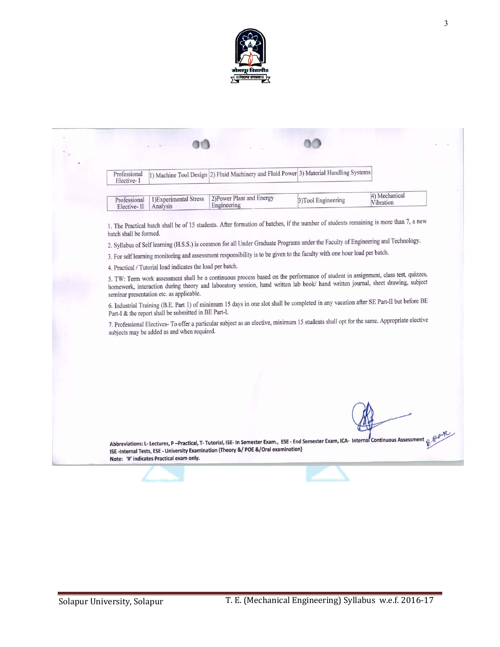

1) Machine Tool Design 2) Fluid Machinery and Fluid Power 3) Material Handling Systems Professional Elective-I 4) Mechanical 1) Experimental Stress 2) Power Plant and Energy Professional 3)Tool Engineering Vibration Engineering Analysis Elective-II 1. The Practical batch shall be of 15 students. After formation of batches, if the number of students remaining is more than 7, a new batch shall be formed. 2. Syllabus of Self learning (H.S.S.) is common for all Under Graduate Programs under the Faculty of Engineering and Technology. 3. For self learning monitoring and assessment responsibility is to be given to the faculty with one hour load per batch. 4. Practical / Tutorial load indicates the load per batch. 5. TW: Term work assessment shall be a continuous process based on the performance of student in assignment, class test, quizzes, 5. TW: Term work assessment shall be a continuous process based on the performance of statement in assignment, exact the performance of statement in assignment, exact the performance of statement in assignment, there are t seminar presentation etc. as applicable. 6. Industrial Training (B.E. Part 1) of minimum 15 days in one slot shall be completed in any vacation after SE Part-II but before BE Part-I & the report shall be submitted in BE Part-I. 7. Professional Electives-To offer a particular subject as an elective, minimum 15 students shall opt for the same. Appropriate elective subjects may be added as and when required. Abbreviations: L- Lectures, P-Practical, T- Tutorial, ISE- In Semester Exam., ESE - End Semester Exam, ICA- Internal Continuous Assessment  $\mathcal{G}$ ISE-Internal Tests, ESE - University Examination (Theory &/ POE &/Oral examination) Note: '#' indicates Practical exam only.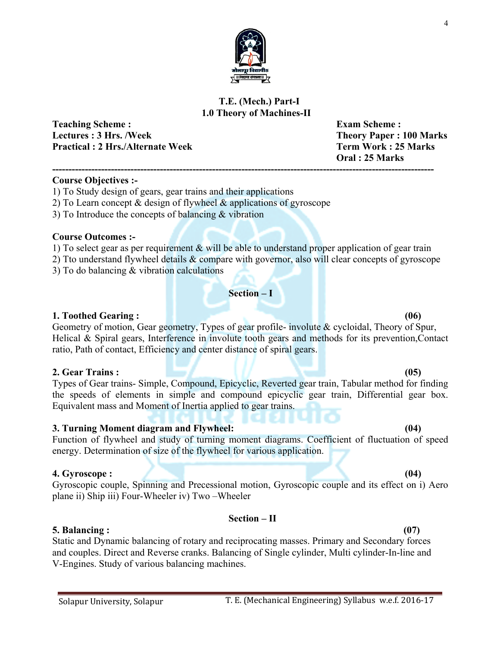

#### **T.E. (Mech.) Part-I 1.0 Theory of Machines-II**

**Teaching Scheme : Exam Scheme : Exam Scheme : Exam Scheme : Exam Scheme** : **Lectures : 3 Hrs. /Week Theory Paper : 100 Marks** Practical : 2 Hrs./Alternate Week Term Work : 25 Marks

 **Oral : 25 Marks ---------------------------------------------------------------------------------------------------------------------** 

#### **Course Objectives :-**

- 1) To Study design of gears, gear trains and their applications
- 2) To Learn concept & design of flywheel & applications of gyroscope
- 3) To Introduce the concepts of balancing & vibration

#### **Course Outcomes :-**

- 1) To select gear as per requirement  $\&$  will be able to understand proper application of gear train
- 2) Tto understand flywheel details & compare with governor, also will clear concepts of gyroscope 3) To do balancing & vibration calculations
	- **Section I**

#### **1. Toothed Gearing : (06)**

Geometry of motion, Gear geometry, Types of gear profile- involute & cycloidal, Theory of Spur, Helical & Spiral gears, Interference in involute tooth gears and methods for its prevention, Contact ratio, Path of contact, Efficiency and center distance of spiral gears.

#### **2. Gear Trains : (05)**

Types of Gear trains- Simple, Compound, Epicyclic, Reverted gear train, Tabular method for finding the speeds of elements in simple and compound epicyclic gear train, Differential gear box. Equivalent mass and Moment of Inertia applied to gear trains.

#### **3. Turning Moment diagram and Flywheel: (04)**

Function of flywheel and study of turning moment diagrams. Coefficient of fluctuation of speed energy. Determination of size of the flywheel for various application.

#### **4. Gyroscope : (04)**

Gyroscopic couple, Spinning and Precessional motion, Gyroscopic couple and its effect on i) Aero plane ii) Ship iii) Four-Wheeler iv) Two –Wheeler

#### **Section – II**

Static and Dynamic balancing of rotary and reciprocating masses. Primary and Secondary forces and couples. Direct and Reverse cranks. Balancing of Single cylinder, Multi cylinder-In-line and V-Engines. Study of various balancing machines.

**5. Balancing : (07)**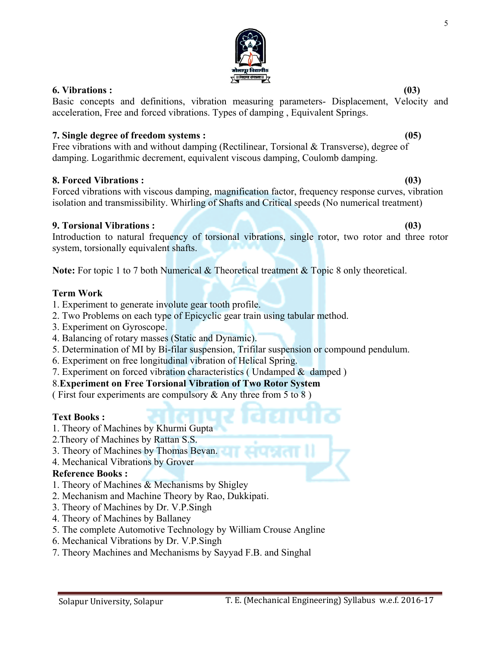5

### **7. Single degree of freedom systems : (05)**

**8. Forced Vibrations : (03)**  Forced vibrations with viscous damping, magnification factor, frequency response curves, vibration isolation and transmissibility. Whirling of Shafts and Critical speeds (No numerical treatment)

#### **9. Torsional Vibrations : (03)**

Introduction to natural frequency of torsional vibrations, single rotor, two rotor and three rotor system, torsionally equivalent shafts.

**Note:** For topic 1 to 7 both Numerical & Theoretical treatment & Topic 8 only theoretical.

#### **Term Work**

- 1. Experiment to generate involute gear tooth profile.
- 2. Two Problems on each type of Epicyclic gear train using tabular method.
- 3. Experiment on Gyroscope.
- 4. Balancing of rotary masses (Static and Dynamic).
- 5. Determination of MI by Bi-filar suspension, Trifilar suspension or compound pendulum.
- 6. Experiment on free longitudinal vibration of Helical Spring.
- 7. Experiment on forced vibration characteristics (Undamped  $\&$  damped )

#### 8.**Experiment on Free Torsional Vibration of Two Rotor System**

( First four experiments are compulsory  $\&$  Any three from 5 to 8)

#### **Text Books :**

- 1. Theory of Machines by Khurmi Gupta
- 2.Theory of Machines by Rattan S.S.
- 3. Theory of Machines by Thomas Bevan.
- 4. Mechanical Vibrations by Grover

#### **Reference Books :**

- 1. Theory of Machines & Mechanisms by Shigley
- 2. Mechanism and Machine Theory by Rao, Dukkipati.
- 3. Theory of Machines by Dr. V.P.Singh
- 4. Theory of Machines by Ballaney
- 5. The complete Automotive Technology by William Crouse Angline
- 6. Mechanical Vibrations by Dr. V.P.Singh
- 7. Theory Machines and Mechanisms by Sayyad F.B. and Singhal



Basic concepts and definitions, vibration measuring parameters- Displacement, Velocity and

**6. Vibrations : (03)** 

Free vibrations with and without damping (Rectilinear, Torsional & Transverse), degree of

acceleration, Free and forced vibrations. Types of damping , Equivalent Springs.

damping. Logarithmic decrement, equivalent viscous damping, Coulomb damping.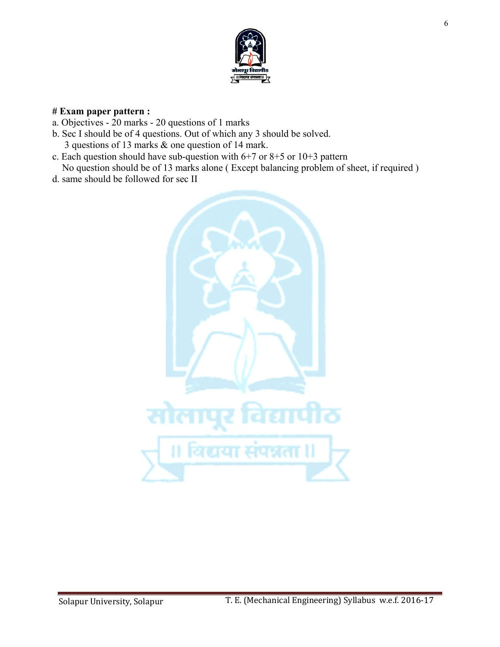

#### **# Exam paper pattern :**

- a. Objectives 20 marks 20 questions of 1 marks
- b. Sec I should be of 4 questions. Out of which any 3 should be solved. 3 questions of 13 marks & one question of 14 mark.
- c. Each question should have sub-question with 6+7 or 8+5 or 10+3 pattern No question should be of 13 marks alone ( Except balancing problem of sheet, if required )
- d. same should be followed for sec II

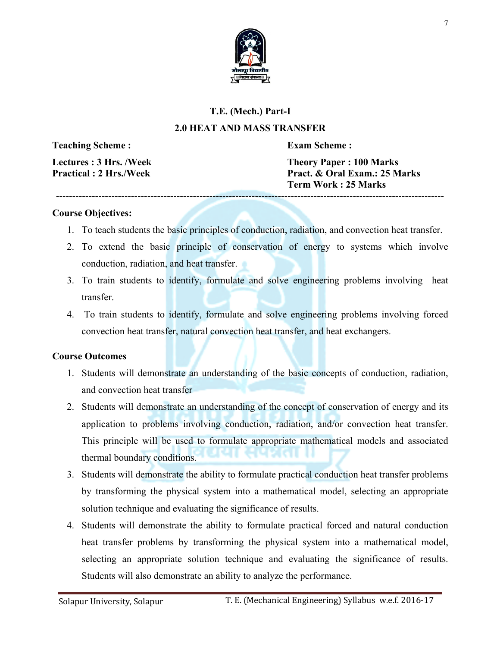

# **T.E. (Mech.) Part-I**

#### **2.0 HEAT AND MASS TRANSFER**

**Teaching Scheme :** Exam Scheme :

**Lectures : 3 Hrs. /Week Theory Paper : 100 Marks Practical : 2 Hrs./Week Pract. & Oral Exam.: 25 Marks Term Work : 25 Marks**  -----------------------------------------------------------------------------------------------------------------------

#### **Course Objectives:**

- 1. To teach students the basic principles of conduction, radiation, and convection heat transfer.
- 2. To extend the basic principle of conservation of energy to systems which involve conduction, radiation, and heat transfer.
- 3. To train students to identify, formulate and solve engineering problems involving heat transfer.
- 4. To train students to identify, formulate and solve engineering problems involving forced convection heat transfer, natural convection heat transfer, and heat exchangers.

#### **Course Outcomes**

- 1. Students will demonstrate an understanding of the basic concepts of conduction, radiation, and convection heat transfer
- 2. Students will demonstrate an understanding of the concept of conservation of energy and its application to problems involving conduction, radiation, and/or convection heat transfer. This principle will be used to formulate appropriate mathematical models and associated thermal boundary conditions.
- 3. Students will demonstrate the ability to formulate practical conduction heat transfer problems by transforming the physical system into a mathematical model, selecting an appropriate solution technique and evaluating the significance of results.
- 4. Students will demonstrate the ability to formulate practical forced and natural conduction heat transfer problems by transforming the physical system into a mathematical model, selecting an appropriate solution technique and evaluating the significance of results. Students will also demonstrate an ability to analyze the performance.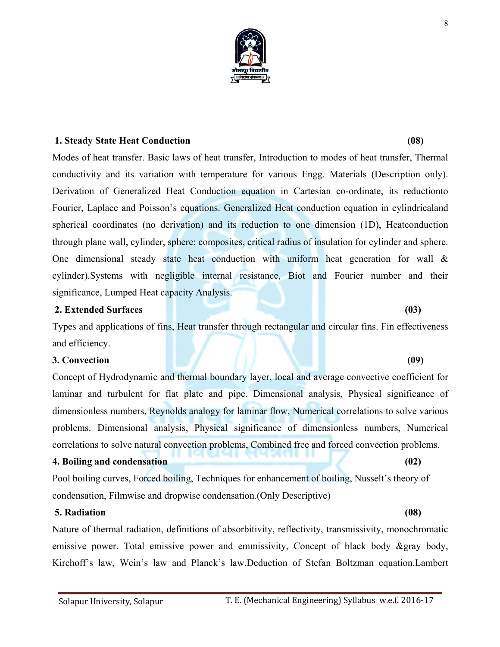# Modes of heat transfer. Basic laws of heat transfer, Introduction to modes of heat transfer, Thermal

conductivity and its variation with temperature for various Engg. Materials (Description only). Derivation of Generalized Heat Conduction equation in Cartesian co-ordinate, its reductionto Fourier, Laplace and Poisson's equations. Generalized Heat conduction equation in cylindricaland spherical coordinates (no derivation) and its reduction to one dimension (1D), Heatconduction through plane wall, cylinder, sphere; composites, critical radius of insulation for cylinder and sphere. One dimensional steady state heat conduction with uniform heat generation for wall & cylinder).Systems with negligible internal resistance, Biot and Fourier number and their significance, Lumped Heat capacity Analysis.

### **2.** Extended Surfaces (03) *CON*

Types and applications of fins, Heat transfer through rectangular and circular fins. Fin effectiveness and efficiency.

#### **3. Convection (09)**

Concept of Hydrodynamic and thermal boundary layer, local and average convective coefficient for laminar and turbulent for flat plate and pipe. Dimensional analysis, Physical significance of dimensionless numbers, Reynolds analogy for laminar flow, Numerical correlations to solve various problems. Dimensional analysis, Physical significance of dimensionless numbers, Numerical correlations to solve natural convection problems, Combined free and forced convection problems.

#### **4. Boiling and condensation (02)**

Pool boiling curves, Forced boiling, Techniques for enhancement of boiling, Nusselt's theory of condensation, Filmwise and dropwise condensation.(Only Descriptive)

#### **5. Radiation (08)**

Nature of thermal radiation, definitions of absorbitivity, reflectivity, transmissivity, monochromatic emissive power. Total emissive power and emmissivity, Concept of black body &gray body, Kirchoff's law, Wein's law and Planck's law.Deduction of Stefan Boltzman equation.Lambert

# **1. Steady State Heat Conduction (08)**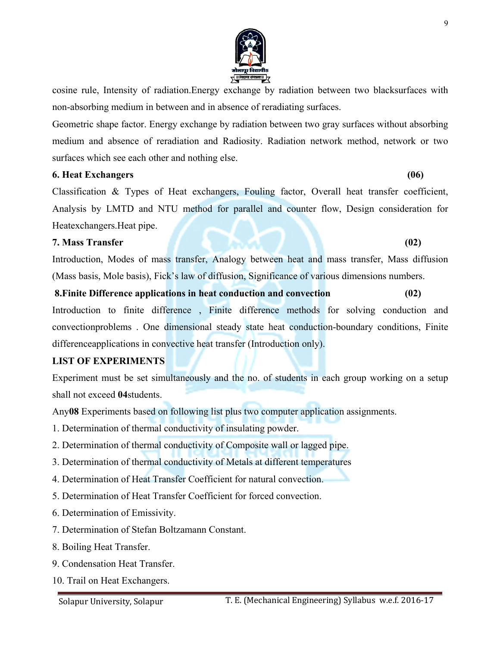

9

cosine rule, Intensity of radiation.Energy exchange by radiation between two blacksurfaces with non-absorbing medium in between and in absence of reradiating surfaces.

Geometric shape factor. Energy exchange by radiation between two gray surfaces without absorbing medium and absence of reradiation and Radiosity. Radiation network method, network or two surfaces which see each other and nothing else.

### **6. Heat Exchangers (06)**

Classification & Types of Heat exchangers, Fouling factor, Overall heat transfer coefficient, Analysis by LMTD and NTU method for parallel and counter flow, Design consideration for Heatexchangers.Heat pipe.

### **7. Mass Transfer (02)**

Introduction, Modes of mass transfer, Analogy between heat and mass transfer, Mass diffusion (Mass basis, Mole basis), Fick's law of diffusion, Significance of various dimensions numbers.

 **8.Finite Difference applications in heat conduction and convection (02)**  Introduction to finite difference , Finite difference methods for solving conduction and convectionproblems . One dimensional steady state heat conduction-boundary conditions, Finite differenceapplications in convective heat transfer (Introduction only).

### **LIST OF EXPERIMENTS**

Experiment must be set simultaneously and the no. of students in each group working on a setup shall not exceed **04**students.

Any**08** Experiments based on following list plus two computer application assignments.

- 1. Determination of thermal conductivity of insulating powder.
- 2. Determination of thermal conductivity of Composite wall or lagged pipe.
- 3. Determination of thermal conductivity of Metals at different temperatures
- 4. Determination of Heat Transfer Coefficient for natural convection.
- 5. Determination of Heat Transfer Coefficient for forced convection.
- 6. Determination of Emissivity.
- 7. Determination of Stefan Boltzamann Constant.
- 8. Boiling Heat Transfer.
- 9. Condensation Heat Transfer.
- 10. Trail on Heat Exchangers.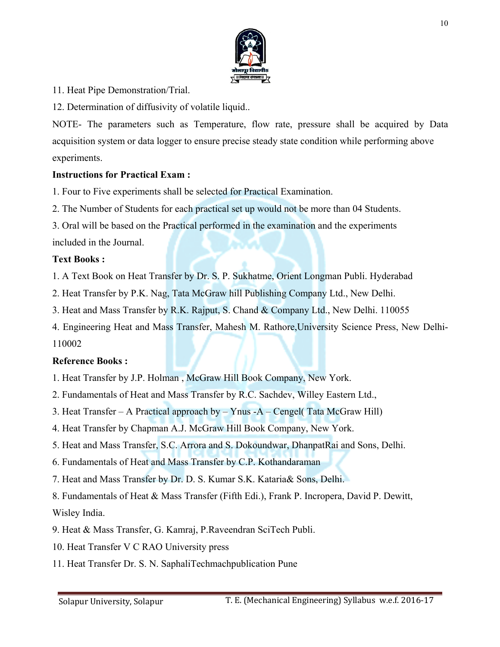

11. Heat Pipe Demonstration/Trial.

12. Determination of diffusivity of volatile liquid..

NOTE- The parameters such as Temperature, flow rate, pressure shall be acquired by Data acquisition system or data logger to ensure precise steady state condition while performing above experiments.

#### **Instructions for Practical Exam :**

1. Four to Five experiments shall be selected for Practical Examination.

2. The Number of Students for each practical set up would not be more than 04 Students.

3. Oral will be based on the Practical performed in the examination and the experiments

included in the Journal.

#### **Text Books :**

1. A Text Book on Heat Transfer by Dr. S. P. Sukhatme, Orient Longman Publi. Hyderabad

- 2. Heat Transfer by P.K. Nag, Tata McGraw hill Publishing Company Ltd., New Delhi.
- 3. Heat and Mass Transfer by R.K. Rajput, S. Chand & Company Ltd., New Delhi. 110055

4. Engineering Heat and Mass Transfer, Mahesh M. Rathore,University Science Press, New Delhi-110002

#### **Reference Books :**

- 1. Heat Transfer by J.P. Holman , McGraw Hill Book Company, New York.
- 2. Fundamentals of Heat and Mass Transfer by R.C. Sachdev, Willey Eastern Ltd.,
- 3. Heat Transfer A Practical approach by Ynus -A Cengel( Tata McGraw Hill)
- 4. Heat Transfer by Chapman A.J. McGraw Hill Book Company, New York.
- 5. Heat and Mass Transfer, S.C. Arrora and S. Dokoundwar, DhanpatRai and Sons, Delhi.
- 6. Fundamentals of Heat and Mass Transfer by C.P. Kothandaraman
- 7. Heat and Mass Transfer by Dr. D. S. Kumar S.K. Kataria& Sons, Delhi.

8. Fundamentals of Heat & Mass Transfer (Fifth Edi.), Frank P. Incropera, David P. Dewitt, Wisley India.

- 9. Heat & Mass Transfer, G. Kamraj, P.Raveendran SciTech Publi.
- 10. Heat Transfer V C RAO University press
- 11. Heat Transfer Dr. S. N. SaphaliTechmachpublication Pune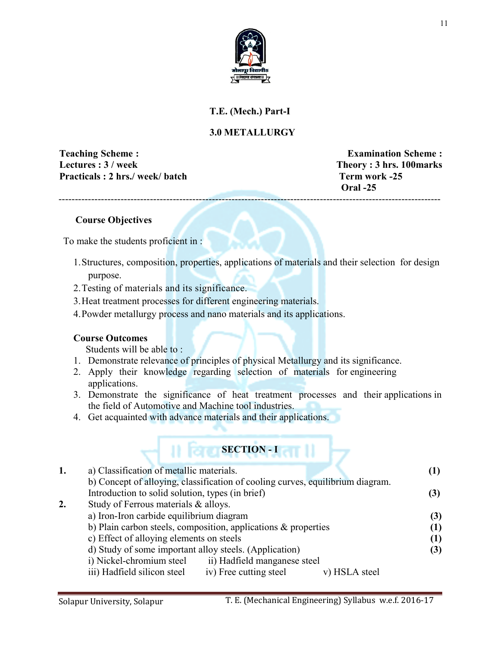

### **T.E. (Mech.) Part-I**

#### **3.0 METALLURGY**

**Teaching Scheme :** The Examination Scheme : **Examination Scheme** : Lectures :  $3 /$  week Theory : 3 hrs. 100marks **Practicals : 2 hrs./ week/ batch Term work -25** 

*<u>Dral</u>* -25 ---------------------------------------------------------------------------------------------------------------------

 **Course Objectives**

To make the students proficient in :

- 1.Structures, composition, properties, applications of materials and their selection for design purpose.
- 2.Testing of materials and its significance.
- 3.Heat treatment processes for different engineering materials.
- 4.Powder metallurgy process and nano materials and its applications.

#### **Course Outcomes**

Students will be able to :

- 1. Demonstrate relevance of principles of physical Metallurgy and its significance.
- 2. Apply their knowledge regarding selection of materials for engineering applications.
- 3. Demonstrate the significance of heat treatment processes and their applications in the field of Automotive and Machine tool industries.
- 4. Get acquainted with advance materials and their applications.

| <b>SECTION - I</b> |
|--------------------|
|                    |
|                    |

| 1. | a) Classification of metallic materials.                                       |               | $\mathbf{I}$ |
|----|--------------------------------------------------------------------------------|---------------|--------------|
|    | b) Concept of alloying, classification of cooling curves, equilibrium diagram. |               |              |
|    | Introduction to solid solution, types (in brief)                               |               | (3)          |
| 2. | Study of Ferrous materials & alloys.                                           |               |              |
|    | a) Iron-Iron carbide equilibrium diagram                                       |               | (3)          |
|    | b) Plain carbon steels, composition, applications $\&$ properties              |               |              |
|    | c) Effect of alloying elements on steels                                       |               |              |
|    | d) Study of some important alloy steels. (Application)                         |               | (3)          |
|    | i) Nickel-chromium steel<br>ii) Hadfield manganese steel                       |               |              |
|    | iv) Free cutting steel<br>iii) Hadfield silicon steel                          | v) HSLA steel |              |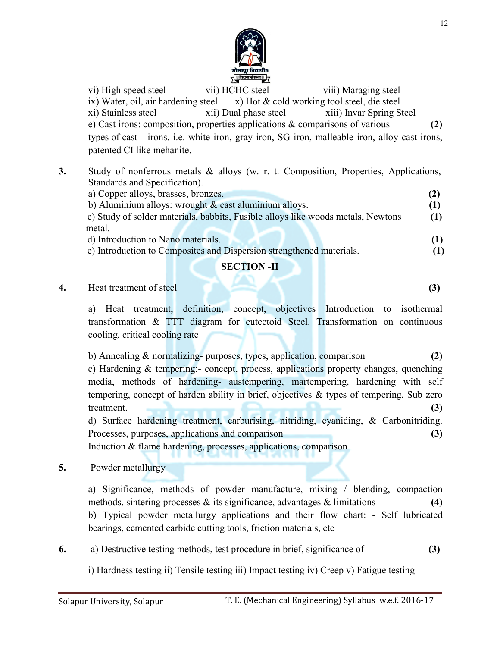

vi) High speed steel vii) HCHC steel viii) Maraging steel ix) Water, oil, air hardening steel  $x)$  Hot  $\&$  cold working tool steel, die steel xi) Stainless steel xii) Dual phase steel xiii) Invar Spring Steel e) Cast irons: composition, properties applications & comparisons of various **(2)**  types of cast irons. i.e. white iron, gray iron, SG iron, malleable iron, alloy cast irons, patented CI like mehanite.

**3.** Study of nonferrous metals & alloys (w. r. t. Composition, Properties, Applications, Standards and Specification). a) Copper alloys, brasses, bronzes. **(2)** b) Aluminium alloys: wrought & cast aluminium alloys. **(1)**  c) Study of solder materials, babbits, Fusible alloys like woods metals, Newtons **(1)** metal. d) Introduction to Nano materials. **(1)** e) Introduction to Composites and Dispersion strengthened materials. **(1)**

#### **SECTION -II**

#### **4.** Heat treatment of steel **(3)**

a) Heat treatment, definition, concept, objectives Introduction to isothermal transformation & TTT diagram for eutectoid Steel. Transformation on continuous cooling, critical cooling rate

b) Annealing & normalizing- purposes, types, application, comparison **(2)**  c) Hardening & tempering:- concept, process, applications property changes, quenching media, methods of hardening- austempering, martempering, hardening with self tempering, concept of harden ability in brief, objectives & types of tempering, Sub zero treatment. (3)

d) Surface hardening treatment, carburising, nitriding, cyaniding, & Carbonitriding. Processes, purposes, applications and comparison **(3) (3)** Induction & flame hardening, processes, applications, comparison

**5.** Powder metallurgy

a) Significance, methods of powder manufacture, mixing / blending, compaction methods, sintering processes & its significance, advantages & limitations **(4)**  b) Typical powder metallurgy applications and their flow chart: - Self lubricated bearings, cemented carbide cutting tools, friction materials, etc

**6.** a) Destructive testing methods, test procedure in brief, significance of **(3)**

i) Hardness testing ii) Tensile testing iii) Impact testing iv) Creep v) Fatigue testing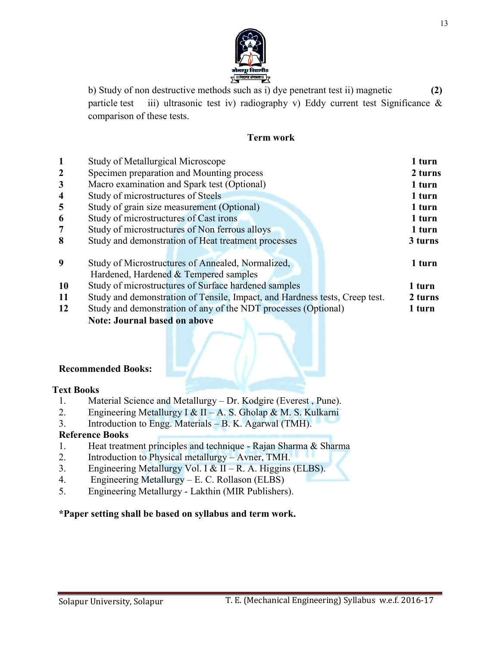

b) Study of non destructive methods such as i) dye penetrant test ii) magnetic **(2)**  particle test iii) ultrasonic test iv) radiography v) Eddy current test Significance  $\&$ comparison of these tests.

#### **Term work**

| $\mathbf{1}$            | <b>Study of Metallurgical Microscope</b>                                                   | 1 turn  |
|-------------------------|--------------------------------------------------------------------------------------------|---------|
| $\boldsymbol{2}$        | Specimen preparation and Mounting process                                                  | 2 turns |
| 3                       | Macro examination and Spark test (Optional)                                                | 1 turn  |
| $\overline{\mathbf{4}}$ | Study of microstructures of Steels                                                         | 1 turn  |
| 5                       | Study of grain size measurement (Optional)                                                 | 1 turn  |
| 6                       | Study of microstructures of Cast irons                                                     | 1 turn  |
| $\overline{7}$          | Study of microstructures of Non ferrous alloys                                             | 1 turn  |
| 8                       | Study and demonstration of Heat treatment processes                                        | 3 turns |
| 9                       | Study of Microstructures of Annealed, Normalized,<br>Hardened, Hardened & Tempered samples | 1 turn  |
| <b>10</b>               | Study of microstructures of Surface hardened samples                                       | 1 turn  |
| 11                      | Study and demonstration of Tensile, Impact, and Hardness tests, Creep test.                | 2 turns |
| 12                      | Study and demonstration of any of the NDT processes (Optional)                             | 1 turn  |
|                         | <b>Note: Journal based on above</b>                                                        |         |

#### **Recommended Books:**

#### **Text Books**

- 1. Material Science and Metallurgy Dr. Kodgire (Everest , Pune).
- 2. Engineering Metallurgy I & II A. S. Gholap & M. S. Kulkarni
- 3. Introduction to Engg. Materials B. K. Agarwal (TMH).

#### **Reference Books**

- 1. Heat treatment principles and technique Rajan Sharma & Sharma
- 2. Introduction to Physical metallurgy Avner, TMH.
- 3. Engineering Metallurgy Vol. I & II R. A. Higgins (ELBS).
- 4. Engineering Metallurgy E. C. Rollason (ELBS)
- 5. Engineering Metallurgy Lakthin (MIR Publishers).

#### **\*Paper setting shall be based on syllabus and term work.**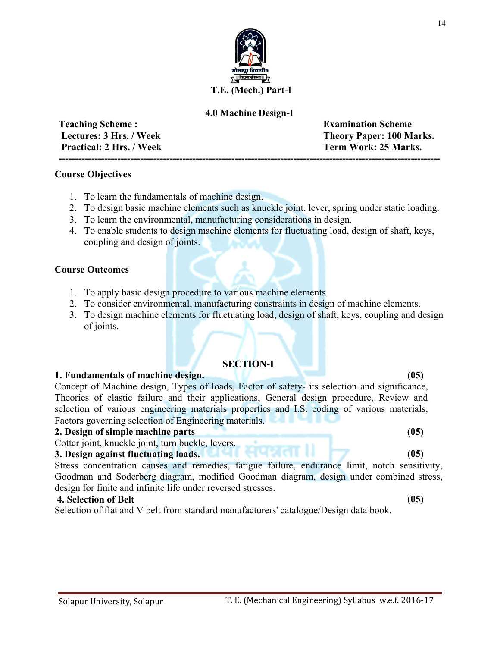

#### **4.0 Machine Design-I**

**---------------------------------------------------------------------------------------------------------------------**

**Practical: 2 Hrs. / Week Term Work: 25 Marks.**

**Teaching Scheme : Examination Scheme Lectures: 3 Hrs. / Week Theory Paper: 100 Marks.** 

#### **Course Objectives**

- 1. To learn the fundamentals of machine design.
- 2. To design basic machine elements such as knuckle joint, lever, spring under static loading.
- 3. To learn the environmental, manufacturing considerations in design.
- 4. To enable students to design machine elements for fluctuating load, design of shaft, keys, coupling and design of joints.

#### **Course Outcomes**

- 1. To apply basic design procedure to various machine elements.
- 2. To consider environmental, manufacturing constraints in design of machine elements.
- 3. To design machine elements for fluctuating load, design of shaft, keys, coupling and design of joints.

#### **SECTION-I**

#### **1. Fundamentals of machine design. (05)**

Concept of Machine design, Types of loads, Factor of safety- its selection and significance, Theories of elastic failure and their applications, General design procedure, Review and selection of various engineering materials properties and I.S. coding of various materials, Factors governing selection of Engineering materials.

#### **2. Design of simple machine parts (05)**

Cotter joint, knuckle joint, turn buckle, levers.

#### **3. Design against fluctuating loads. (05)**

Stress concentration causes and remedies, fatigue failure, endurance limit, notch sensitivity, Goodman and Soderberg diagram, modified Goodman diagram, design under combined stress, design for finite and infinite life under reversed stresses.

#### **4. Selection of Belt (05)**

Selection of flat and V belt from standard manufacturers' catalogue/Design data book.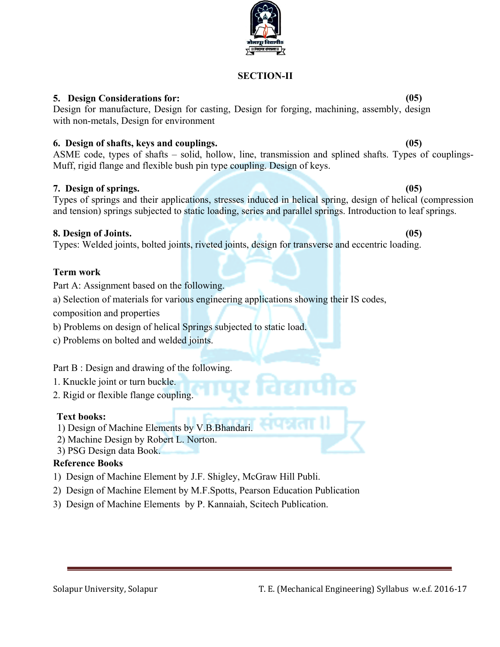#### **SECTION-II**

#### **5. Design Considerations for: (05)**

Design for manufacture, Design for casting, Design for forging, machining, assembly, design with non-metals, Design for environment

#### **6. Design of shafts, keys and couplings. (05)**

ASME code, types of shafts – solid, hollow, line, transmission and splined shafts. Types of couplings-Muff, rigid flange and flexible bush pin type coupling. Design of keys.

#### **7. Design of springs. (05)**

Types of springs and their applications, stresses induced in helical spring, design of helical (compression and tension) springs subjected to static loading, series and parallel springs. Introduction to leaf springs.

#### **8. Design of Joints. (05)**

Types: Welded joints, bolted joints, riveted joints, design for transverse and eccentric loading.

#### **Term work**

Part A: Assignment based on the following.

a) Selection of materials for various engineering applications showing their IS codes,

composition and properties

b) Problems on design of helical Springs subjected to static load.

c) Problems on bolted and welded joints.

Part B : Design and drawing of the following.

1. Knuckle joint or turn buckle.

2. Rigid or flexible flange coupling.

#### **Text books:**

1) Design of Machine Elements by V.B.Bhandari.

- 2) Machine Design by Robert L. Norton.
- 3) PSG Design data Book.

#### **Reference Books**

1) Design of Machine Element by J.F. Shigley, McGraw Hill Publi.

2) Design of Machine Element by M.F.Spotts, Pearson Education Publication

3) Design of Machine Elements by P. Kannaiah, Scitech Publication.

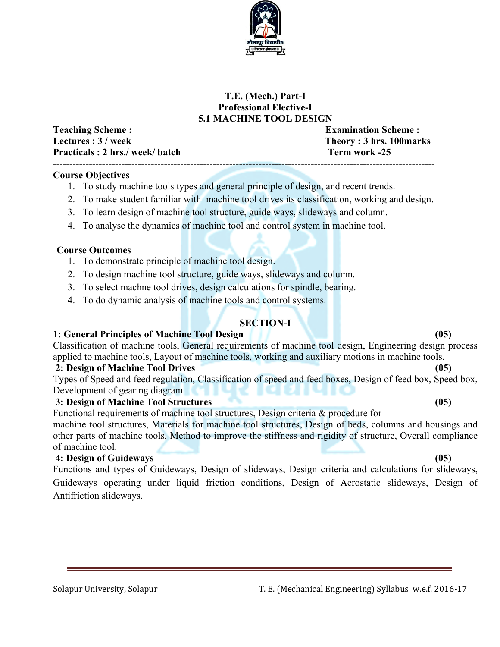

#### **T.E. (Mech.) Part-I Professional Elective-I 5.1 MACHINE TOOL DESIGN**

**Teaching Scheme :** Examination Scheme : Lectures :  $3 /$  week Theory :  $3$  hrs. 100 marks **Practicals : 2 hrs./ week/ batch Term work -25**  ---------------------------------------------------------------------------------------------------------------------

#### **Course Objectives**

- 1. To study machine tools types and general principle of design, and recent trends.
- 2. To make student familiar with machine tool drives its classification, working and design.
- 3. To learn design of machine tool structure, guide ways, slideways and column.
- 4. To analyse the dynamics of machine tool and control system in machine tool.

#### **Course Outcomes**

- 1. To demonstrate principle of machine tool design.
- 2. To design machine tool structure, guide ways, slideways and column.
- 3. To select machne tool drives, design calculations for spindle, bearing.
- 4. To do dynamic analysis of machine tools and control systems.

#### **SECTION-I**

#### **1: General Principles of Machine Tool Design (05)**

Classification of machine tools, General requirements of machine tool design, Engineering design process applied to machine tools, Layout of machine tools, working and auxiliary motions in machine tools.

#### **2: Design of Machine Tool Drives (05)**

Types of Speed and feed regulation, Classification of speed and feed boxes, Design of feed box, Speed box, Development of gearing diagram.

#### **3: Design of Machine Tool Structures (05)**

Functional requirements of machine tool structures, Design criteria & procedure for machine tool structures, Materials for machine tool structures, Design of beds, columns and housings and other parts of machine tools, Method to improve the stiffness and rigidity of structure, Overall compliance of machine tool.

#### **4: Design of Guideways (05)**

Functions and types of Guideways, Design of slideways, Design criteria and calculations for slideways, Guideways operating under liquid friction conditions, Design of Aerostatic slideways, Design of Antifriction slideways.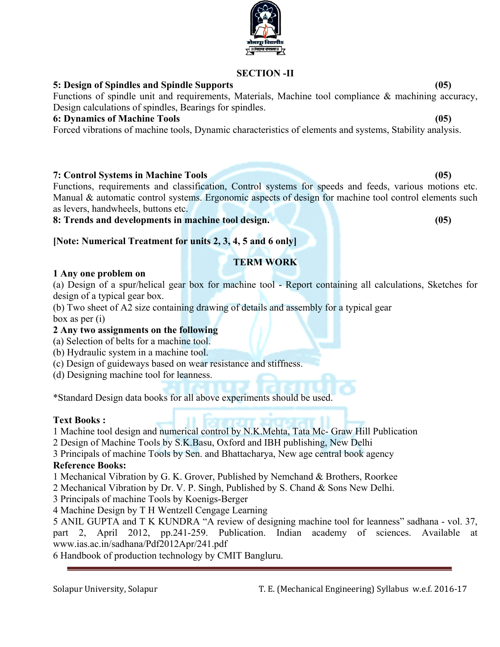#### **SECTION -II**

#### **5: Design of Spindles and Spindle Supports (05)**

Functions of spindle unit and requirements, Materials, Machine tool compliance & machining accuracy, Design calculations of spindles, Bearings for spindles.

#### **6: Dynamics of Machine Tools (05)**

Forced vibrations of machine tools, Dynamic characteristics of elements and systems, Stability analysis.

#### **7: Control Systems in Machine Tools (05)**

Functions, requirements and classification, Control systems for speeds and feeds, various motions etc. Manual & automatic control systems. Ergonomic aspects of design for machine tool control elements such as levers, handwheels, buttons etc.

#### **8: Trends and developments in machine tool design. (05)**

#### **[Note: Numerical Treatment for units 2, 3, 4, 5 and 6 only]**

#### **TERM WORK**

#### **1 Any one problem on**

(a) Design of a spur/helical gear box for machine tool - Report containing all calculations, Sketches for design of a typical gear box.

(b) Two sheet of A2 size containing drawing of details and assembly for a typical gear box as per (i)

#### **2 Any two assignments on the following**

(a) Selection of belts for a machine tool.

- (b) Hydraulic system in a machine tool.
- (c) Design of guideways based on wear resistance and stiffness.
- (d) Designing machine tool for leanness.

\*Standard Design data books for all above experiments should be used.

#### **Text Books :**

1 Machine tool design and numerical control by N.K.Mehta, Tata Mc- Graw Hill Publication

2 Design of Machine Tools by S.K.Basu, Oxford and IBH publishing, New Delhi

3 Principals of machine Tools by Sen. and Bhattacharya, New age central book agency

#### **Reference Books:**

1 Mechanical Vibration by G. K. Grover, Published by Nemchand & Brothers, Roorkee

2 Mechanical Vibration by Dr. V. P. Singh, Published by S. Chand & Sons New Delhi.

3 Principals of machine Tools by Koenigs-Berger

4 Machine Design by T H Wentzell Cengage Learning

5 ANIL GUPTA and T K KUNDRA "A review of designing machine tool for leanness" sadhana - vol. 37, part 2, April 2012, pp.241-259. Publication. Indian academy of sciences. Available at www.ias.ac.in/sadhana/Pdf2012Apr/241.pdf

6 Handbook of production technology by CMIT Bangluru.

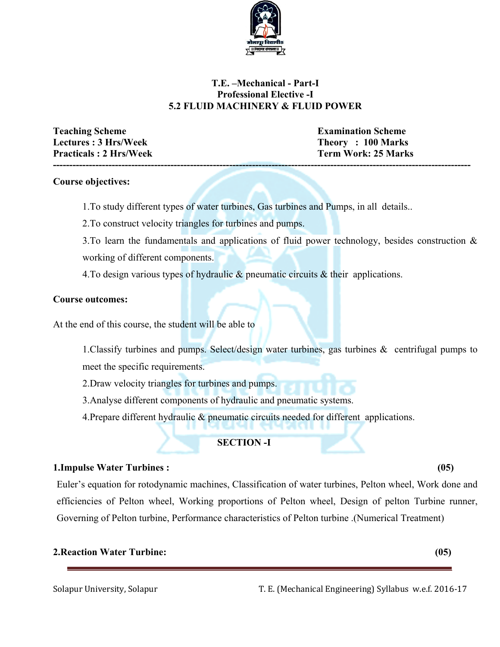

#### **T.E. –Mechanical - Part-I Professional Elective -I 5.2 FLUID MACHINERY & FLUID POWER**

**Teaching Scheme Examination Scheme Lectures : 3 Hrs/Week Theory : 100 Marks**  Practicals : 2 Hrs/Week Term Work: 25 Marks **--------------------------------------------------------------------------------------------------------------------------------** 

#### **Course objectives:**

1.To study different types of water turbines, Gas turbines and Pumps, in all details..

2.To construct velocity triangles for turbines and pumps.

3. To learn the fundamentals and applications of fluid power technology, besides construction  $\&$ working of different components.

4. To design various types of hydraulic & pneumatic circuits & their applications.

#### **Course outcomes:**

At the end of this course, the student will be able to

1.Classify turbines and pumps. Select/design water turbines, gas turbines & centrifugal pumps to meet the specific requirements.

2.Draw velocity triangles for turbines and pumps.

3.Analyse different components of hydraulic and pneumatic systems.

4.Prepare different hydraulic & pneumatic circuits needed for different applications.

#### **SECTION -I**

#### **1.Impulse Water Turbines : (05)**

Euler's equation for rotodynamic machines, Classification of water turbines, Pelton wheel, Work done and efficiencies of Pelton wheel, Working proportions of Pelton wheel, Design of pelton Turbine runner, Governing of Pelton turbine, Performance characteristics of Pelton turbine .(Numerical Treatment)

#### **2.Reaction Water Turbine: (05)**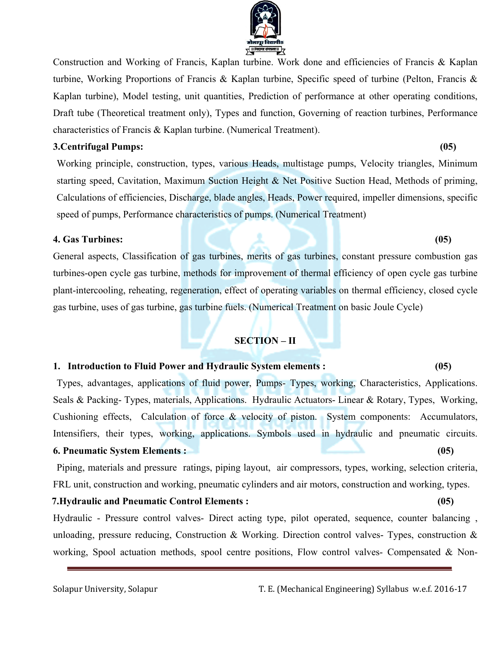Construction and Working of Francis, Kaplan turbine. Work done and efficiencies of Francis & Kaplan turbine, Working Proportions of Francis & Kaplan turbine, Specific speed of turbine (Pelton, Francis & Kaplan turbine), Model testing, unit quantities, Prediction of performance at other operating conditions, Draft tube (Theoretical treatment only), Types and function, Governing of reaction turbines, Performance characteristics of Francis & Kaplan turbine. (Numerical Treatment).

#### **3.Centrifugal Pumps: (05)**

Working principle, construction, types, various Heads, multistage pumps, Velocity triangles, Minimum starting speed, Cavitation, Maximum Suction Height & Net Positive Suction Head, Methods of priming, Calculations of efficiencies, Discharge, blade angles, Heads, Power required, impeller dimensions, specific speed of pumps, Performance characteristics of pumps. (Numerical Treatment)

#### **4. Gas Turbines: (05)**

General aspects, Classification of gas turbines, merits of gas turbines, constant pressure combustion gas turbines-open cycle gas turbine, methods for improvement of thermal efficiency of open cycle gas turbine plant-intercooling, reheating, regeneration, effect of operating variables on thermal efficiency, closed cycle gas turbine, uses of gas turbine, gas turbine fuels. (Numerical Treatment on basic Joule Cycle)

### **SECTION – II**

#### **1. Introduction to Fluid Power and Hydraulic System elements : (05)**

Types, advantages, applications of fluid power, Pumps- Types, working, Characteristics, Applications. Seals & Packing- Types, materials, Applications. Hydraulic Actuators- Linear & Rotary, Types, Working, Cushioning effects, Calculation of force & velocity of piston. System components: Accumulators, Intensifiers, their types, working, applications. Symbols used in hydraulic and pneumatic circuits. **6. Pneumatic System Elements : (05)**

Piping, materials and pressure ratings, piping layout, air compressors, types, working, selection criteria, FRL unit, construction and working, pneumatic cylinders and air motors, construction and working, types.

#### **7.Hydraulic and Pneumatic Control Elements : (05)**

Hydraulic - Pressure control valves- Direct acting type, pilot operated, sequence, counter balancing , unloading, pressure reducing, Construction & Working. Direction control valves- Types, construction & working, Spool actuation methods, spool centre positions, Flow control valves- Compensated & Non-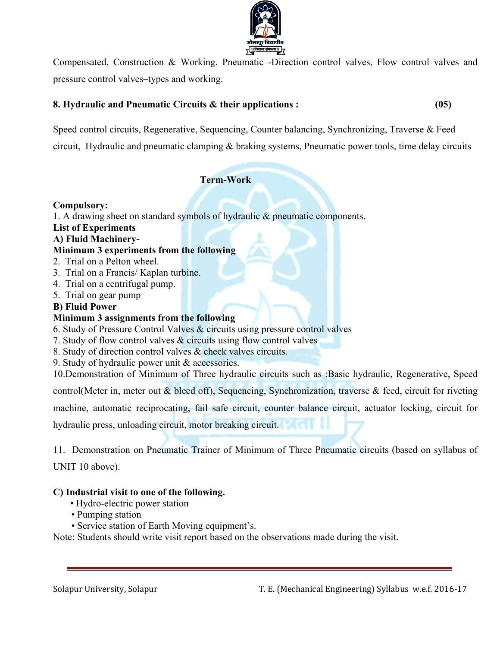

Compensated, Construction & Working. Pneumatic -Direction control valves, Flow control valves and pressure control valves–types and working.

#### **8. Hydraulic and Pneumatic Circuits & their applications : (05)**

Speed control circuits, Regenerative, Sequencing, Counter balancing, Synchronizing, Traverse & Feed circuit, Hydraulic and pneumatic clamping & braking systems, Pneumatic power tools, time delay circuits

#### **Term-Work**

#### **Compulsory:**

1. A drawing sheet on standard symbols of hydraulic & pneumatic components.

#### **List of Experiments**

#### **A) Fluid Machinery-**

#### **Minimum 3 experiments from the following**

- 2. Trial on a Pelton wheel.
- 3. Trial on a Francis/ Kaplan turbine.
- 4. Trial on a centrifugal pump.
- 5. Trial on gear pump
- **B) Fluid Power**

#### **Minimum 3 assignments from the following**

- 6. Study of Pressure Control Valves & circuits using pressure control valves
- 7. Study of flow control valves & circuits using flow control valves
- 8. Study of direction control valves & check valves circuits.
- 9. Study of hydraulic power unit & accessories.

10.Demonstration of Minimum of Three hydraulic circuits such as :Basic hydraulic, Regenerative, Speed

control(Meter in, meter out & bleed off), Sequencing, Synchronization, traverse & feed, circuit for riveting

machine, automatic reciprocating, fail safe circuit, counter balance circuit, actuator locking, circuit for

hydraulic press, unloading circuit, motor breaking circuit.

11. Demonstration on Pneumatic Trainer of Minimum of Three Pneumatic circuits (based on syllabus of

UNIT 10 above).

#### **C) Industrial visit to one of the following.**

- Hydro-electric power station
- Pumping station
- Service station of Earth Moving equipment's.

Note: Students should write visit report based on the observations made during the visit.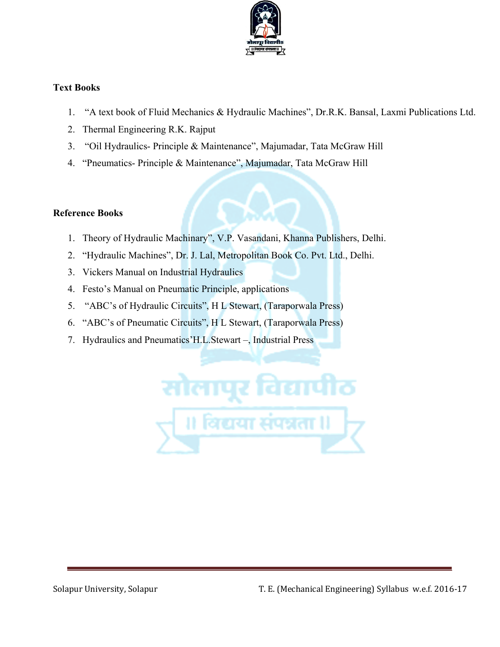

#### **Text Books**

- 1. "A text book of Fluid Mechanics & Hydraulic Machines", Dr.R.K. Bansal, Laxmi Publications Ltd.
- 2. Thermal Engineering R.K. Rajput
- 3. "Oil Hydraulics- Principle & Maintenance", Majumadar, Tata McGraw Hill
- 4. "Pneumatics- Principle & Maintenance", Majumadar, Tata McGraw Hill

#### **Reference Books**

- 1. Theory of Hydraulic Machinary", V.P. Vasandani, Khanna Publishers, Delhi.
- 2. "Hydraulic Machines", Dr. J. Lal, Metropolitan Book Co. Pvt. Ltd., Delhi.
- 3. Vickers Manual on Industrial Hydraulics
- 4. Festo's Manual on Pneumatic Principle, applications
- 5. "ABC's of Hydraulic Circuits", H L Stewart, (Taraporwala Press)
- 6. "ABC's of Pneumatic Circuits", H L Stewart, (Taraporwala Press)
- 7. Hydraulics and Pneumatics'H.L.Stewart –, Industrial Press

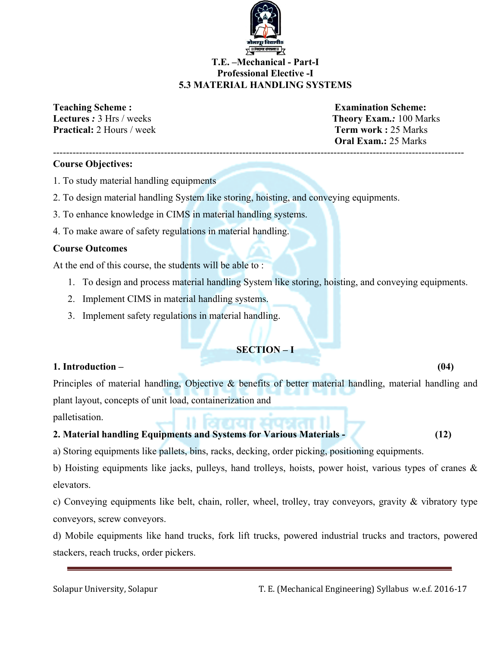

#### **T.E. –Mechanical - Part-I Professional Elective -I 5.3 MATERIAL HANDLING SYSTEMS**

**Teaching Scheme :** Examination Scheme: **Practical:** 2 Hours / week **Term work : 25 Marks** 

**Lectures** *:* **3 Hrs / weeks <b>Theory Exam**.: 100 Marks  **Oral Exam.:** 25 Marks ------------------------------------------------------------------------------------------------------------------------------

#### **Course Objectives:**

- 1. To study material handling equipments
- 2. To design material handling System like storing, hoisting, and conveying equipments.
- 3. To enhance knowledge in CIMS in material handling systems.
- 4. To make aware of safety regulations in material handling.

#### **Course Outcomes**

At the end of this course, the students will be able to :

- 1. To design and process material handling System like storing, hoisting, and conveying equipments.
- 2. Implement CIMS in material handling systems.
- 3. Implement safety regulations in material handling.

#### **SECTION – I**

#### **1. Introduction – (04)**

Principles of material handling, Objective & benefits of better material handling, material handling and plant layout, concepts of unit load, containerization and

palletisation.

#### **2. Material handling Equipments and Systems for Various Materials - (12)**

a) Storing equipments like pallets, bins, racks, decking, order picking, positioning equipments.

b) Hoisting equipments like jacks, pulleys, hand trolleys, hoists, power hoist, various types of cranes  $\&$ elevators.

c) Conveying equipments like belt, chain, roller, wheel, trolley, tray conveyors, gravity & vibratory type conveyors, screw conveyors.

d) Mobile equipments like hand trucks, fork lift trucks, powered industrial trucks and tractors, powered stackers, reach trucks, order pickers.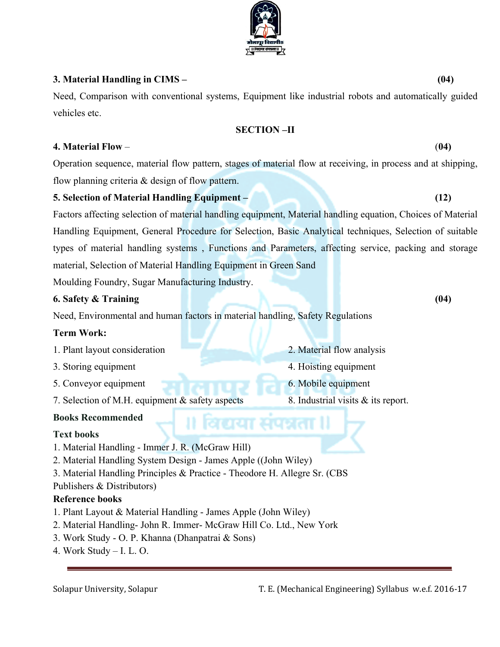#### **3. Material Handling in CIMS – (04)**

Need, Comparison with conventional systems, Equipment like industrial robots and automatically guided vehicles etc.

#### **SECTION –II**

#### **4. Material Flow** – (**04)**

Operation sequence, material flow pattern, stages of material flow at receiving, in process and at shipping, flow planning criteria & design of flow pattern.

#### **5. Selection of Material Handling Equipment – (12)**

Factors affecting selection of material handling equipment, Material handling equation, Choices of Material Handling Equipment, General Procedure for Selection, Basic Analytical techniques, Selection of suitable types of material handling systems , Functions and Parameters, affecting service, packing and storage material, Selection of Material Handling Equipment in Green Sand

Moulding Foundry, Sugar Manufacturing Industry.

#### **6. Safety & Training (04)**

#### Need, Environmental and human factors in material handling, Safety Regulations

#### **Term Work:**

- 1. Plant layout consideration 2. Material flow analysis
- 3. Storing equipment 4. Hoisting equipment
- 5. Conveyor equipment 6. Mobile equipment
- 7. Selection of M.H. equipment & safety aspects 8. Industrial visits & its report.

#### **Books Recommended**

#### **Text books**

- 1. Material Handling Immer J. R. (McGraw Hill)
- 2. Material Handling System Design James Apple ((John Wiley)
- 3. Material Handling Principles & Practice Theodore H. Allegre Sr. (CBS

#### Publishers & Distributors)

#### **Reference books**

- 1. Plant Layout & Material Handling James Apple (John Wiley)
- 2. Material Handling- John R. Immer- McGraw Hill Co. Ltd., New York
- 3. Work Study O. P. Khanna (Dhanpatrai & Sons)
- 4. Work Study I. L. O.

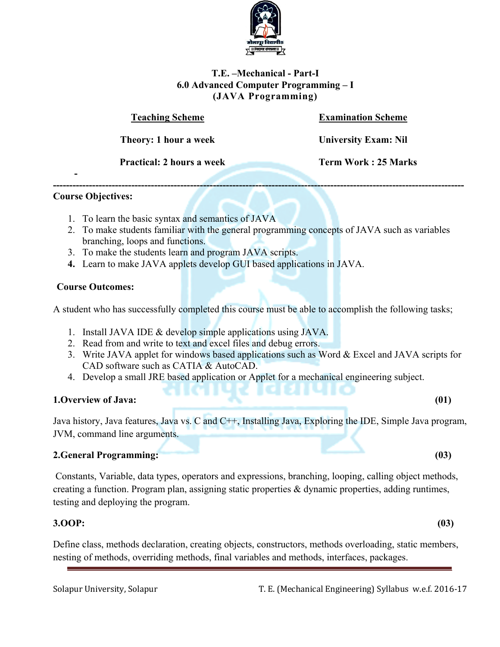

#### **T.E. –Mechanical - Part-I 6.0 Advanced Computer Programming – I (JAVA Programming)**

| <b>Teaching Scheme</b>           | <b>Examination Scheme</b>   |
|----------------------------------|-----------------------------|
| Theory: 1 hour a week            | <b>University Exam: Nil</b> |
| <b>Practical: 2 hours a week</b> | <b>Term Work: 25 Marks</b>  |
|                                  |                             |

#### **Course Objectives:**

- 1. To learn the basic syntax and semantics of JAVA
- 2. To make students familiar with the general programming concepts of JAVA such as variables branching, loops and functions.
- 3. To make the students learn and program JAVA scripts.
- **4.** Learn to make JAVA applets develop GUI based applications in JAVA.

#### **Course Outcomes:**

A student who has successfully completed this course must be able to accomplish the following tasks;

- 1. Install JAVA IDE & develop simple applications using JAVA.
- 2. Read from and write to text and excel files and debug errors.
- 3. Write JAVA applet for windows based applications such as Word & Excel and JAVA scripts for CAD software such as CATIA & AutoCAD.
- 4. Develop a small JRE based application or Applet for a mechanical engineering subject.

#### **1.Overview of Java: (01)**

Java history, Java features, Java vs. C and C++, Installing Java, Exploring the IDE, Simple Java program, JVM, command line arguments.

#### **2.General Programming: (03)**

Constants, Variable, data types, operators and expressions, branching, looping, calling object methods, creating a function. Program plan, assigning static properties & dynamic properties, adding runtimes, testing and deploying the program.

#### **3.OOP: (03)**

Define class, methods declaration, creating objects, constructors, methods overloading, static members, nesting of methods, overriding methods, final variables and methods, interfaces, packages.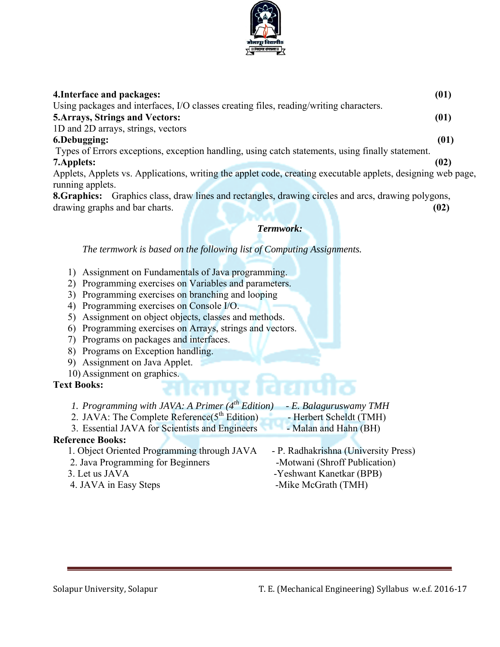

| 4. Interface and packages:                                                                                   | (01) |
|--------------------------------------------------------------------------------------------------------------|------|
| Using packages and interfaces, I/O classes creating files, reading/writing characters.                       |      |
|                                                                                                              |      |
| <b>5. Arrays, Strings and Vectors:</b>                                                                       | (01) |
| 1D and 2D arrays, strings, vectors                                                                           |      |
| 6.Debugging:                                                                                                 | (01) |
| Types of Errors exceptions, exception handling, using catch statements, using finally statement.             |      |
| 7. Applets:                                                                                                  | (02) |
| Applets, Applets vs. Applications, writing the applet code, creating executable applets, designing web page, |      |
| running applets.                                                                                             |      |
| Graphics class, draw lines and rectangles, drawing circles and arcs, drawing polygons,<br>8.Graphics:        |      |

drawing graphs and bar charts. **(02)**

#### *Termwork:*

*The termwork is based on the following list of Computing Assignments.* 

- 1) Assignment on Fundamentals of Java programming.
- 2) Programming exercises on Variables and parameters.
- 3) Programming exercises on branching and looping
- 4) Programming exercises on Console I/O.
- 5) Assignment on object objects, classes and methods.
- 6) Programming exercises on Arrays, strings and vectors.
- 7) Programs on packages and interfaces.
- 8) Programs on Exception handling.
- 9) Assignment on Java Applet.
- 10) Assignment on graphics.

#### **Text Books:**

# *1. Programming with JAVA: A Primer (4th Edition) - E. Balaguruswamy TMH*

- 2. JAVA: The Complete Reference( $5^{\text{th}}$  Edition) Herbert Scheldt (TMH)
- 
- 3. Essential JAVA for Scientists and Engineers Malan and Hahn (BH)

#### **Reference Books:**

- 1. Object Oriented Programming through JAVA P. Radhakrishna (University Press)
- 2. Java Programming for Beginners -Motwani (Shroff Publication)
- 
- 
- 
- 
- 3. Let us JAVA  $-$ Yeshwant Kanetkar (BPB)
- 4. JAVA in Easy Steps -Mike McGrath (TMH)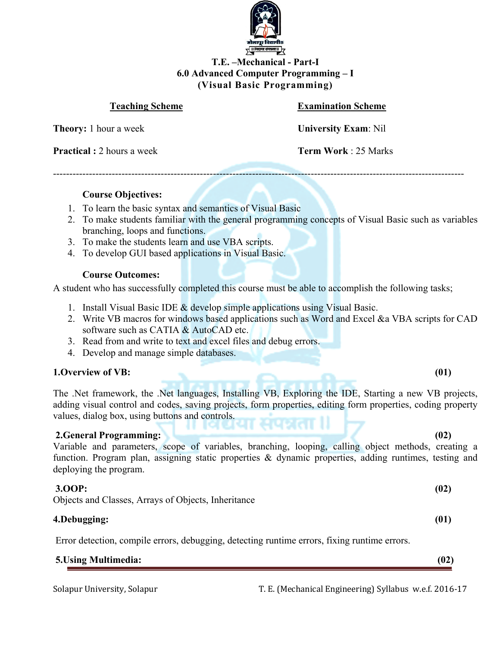

#### **T.E. –Mechanical - Part-I 6.0 Advanced Computer Programming – I (Visual Basic Programming)**

**Theory:** 1 hour a week **University Exam**: Nil

**Practical :** 2 hours a week **Term Work** : 25 Marks

#### **Teaching Scheme Examination Scheme**

### **Course Objectives:**

- 1. To learn the basic syntax and semantics of Visual Basic
- 2. To make students familiar with the general programming concepts of Visual Basic such as variables branching, loops and functions.

------------------------------------------------------------------------------------------------------------------------------

- 3. To make the students learn and use VBA scripts.
- 4. To develop GUI based applications in Visual Basic.

#### **Course Outcomes:**

A student who has successfully completed this course must be able to accomplish the following tasks;

- 1. Install Visual Basic IDE & develop simple applications using Visual Basic.
- 2. Write VB macros for windows based applications such as Word and Excel &a VBA scripts for CAD software such as CATIA & AutoCAD etc.
- 3. Read from and write to text and excel files and debug errors.
- 4. Develop and manage simple databases.

#### **1.Overview of VB: (01)**

The .Net framework, the .Net languages, Installing VB, Exploring the IDE, Starting a new VB projects, adding visual control and codes, saving projects, form properties, editing form properties, coding property values, dialog box, using buttons and controls. : 226 II

#### **2.General Programming: (02)**

Variable and parameters, scope of variables, branching, looping, calling object methods, creating a function. Program plan, assigning static properties & dynamic properties, adding runtimes, testing and deploying the program.

#### **3.OOP: (02)**

Objects and Classes, Arrays of Objects, Inheritance

#### **4.Debugging: (01)**

Error detection, compile errors, debugging, detecting runtime errors, fixing runtime errors.

#### **5.Using Multimedia: (02)**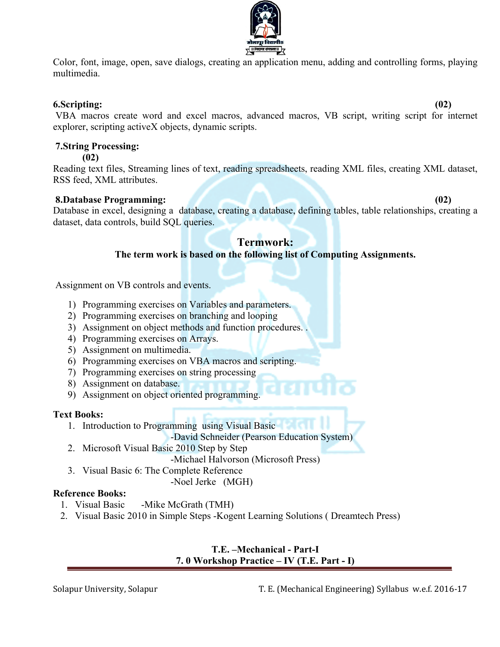

Color, font, image, open, save dialogs, creating an application menu, adding and controlling forms, playing multimedia.

#### **6.Scripting: (02)**

 VBA macros create word and excel macros, advanced macros, VB script, writing script for internet explorer, scripting activeX objects, dynamic scripts.

#### **7.String Processing:**

#### **(02)**

Reading text files, Streaming lines of text, reading spreadsheets, reading XML files, creating XML dataset, RSS feed, XML attributes.

#### **8.Database Programming: (02)**

Database in excel, designing a database, creating a database, defining tables, table relationships, creating a dataset, data controls, build SQL queries.

#### **Termwork:**

#### **The term work is based on the following list of Computing Assignments.**

Assignment on VB controls and events.

- 1) Programming exercises on Variables and parameters.
- 2) Programming exercises on branching and looping
- 3) Assignment on object methods and function procedures. .
- 4) Programming exercises on Arrays.
- 5) Assignment on multimedia.
- 6) Programming exercises on VBA macros and scripting.
- 7) Programming exercises on string processing
- 8) Assignment on database.
- 9) Assignment on object oriented programming.

#### **Text Books:**

1. Introduction to Programming using Visual Basic

-David Schneider (Pearson Education System)

2. Microsoft Visual Basic 2010 Step by Step

-Michael Halvorson (Microsoft Press)

3. Visual Basic 6: The Complete Reference

-Noel Jerke (MGH)

#### **Reference Books:**

- 1. Visual Basic -Mike McGrath (TMH)
- 2. Visual Basic 2010 in Simple Steps -Kogent Learning Solutions ( Dreamtech Press)

#### **T.E. –Mechanical - Part-I 7. 0 Workshop Practice – IV (T.E. Part - I)**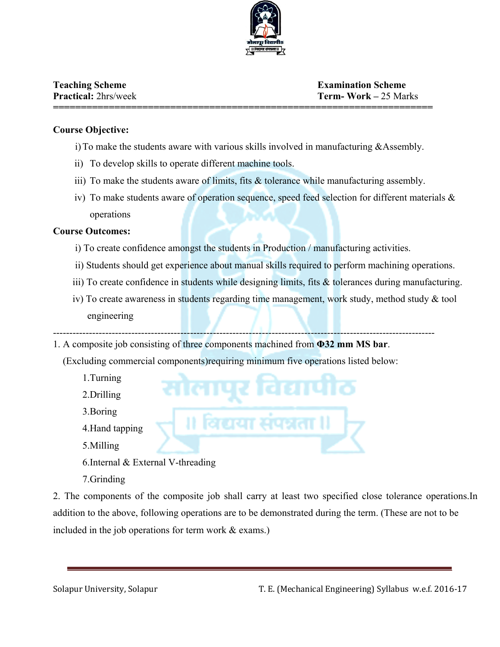

# **====================================================================**

**Teaching Scheme Examination Scheme Practical:** 2hrs/week **Term- Work –** 25 Marks

#### **Course Objective:**

- i)To make the students aware with various skills involved in manufacturing &Assembly.
- ii) To develop skills to operate different machine tools.
- iii) To make the students aware of limits, fits & tolerance while manufacturing assembly.
- iv) To make students aware of operation sequence, speed feed selection for different materials & operations

#### **Course Outcomes:**

- i) To create confidence amongst the students in Production / manufacturing activities.
- ii) Students should get experience about manual skills required to perform machining operations.
- iii) To create confidence in students while designing limits, fits  $\&$  tolerances during manufacturing.
- iv) To create awareness in students regarding time management, work study, method study & tool engineering
- ---------------------------------------------------------------------------------------------------------------------

1. A composite job consisting of three components machined from **Φ32 mm MS bar**.

(Excluding commercial components)requiring minimum five operations listed below:

- 1.Turning
- 2.Drilling
- 3.Boring
- 4.Hand tapping
- 5.Milling
- 6.Internal & External V-threading
- 7.Grinding

2. The components of the composite job shall carry at least two specified close tolerance operations.In addition to the above, following operations are to be demonstrated during the term. (These are not to be included in the job operations for term work & exams.)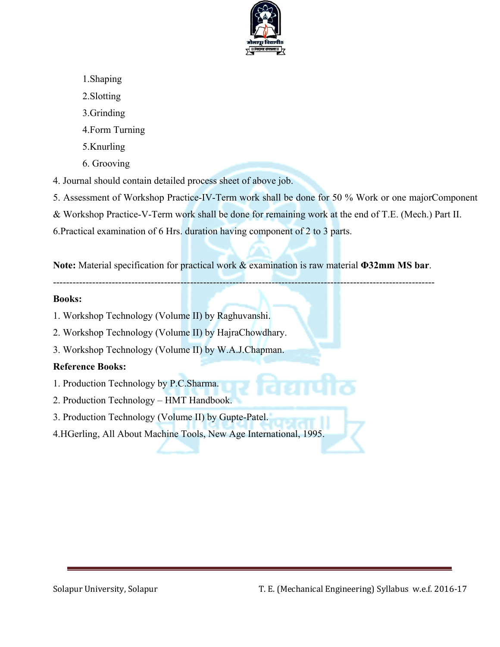

- 1.Shaping
- 2.Slotting
- 3.Grinding
- 4.Form Turning
- 5.Knurling
- 6. Grooving
- 4. Journal should contain detailed process sheet of above job.
- 5. Assessment of Workshop Practice-IV-Term work shall be done for 50 % Work or one majorComponent
- & Workshop Practice-V-Term work shall be done for remaining work at the end of T.E. (Mech.) Part II.
- 6.Practical examination of 6 Hrs. duration having component of 2 to 3 parts.

**Note:** Material specification for practical work & examination is raw material **Φ32mm MS bar**.

---------------------------------------------------------------------------------------------------------------------

#### **Books:**

- 1. Workshop Technology (Volume II) by Raghuvanshi.
- 2. Workshop Technology (Volume II) by HajraChowdhary.
- 3. Workshop Technology (Volume II) by W.A.J.Chapman.

#### **Reference Books:**

- 1. Production Technology by P.C.Sharma.
- 2. Production Technology HMT Handbook.
- 3. Production Technology (Volume II) by Gupte-Patel.
- 4.HGerling, All About Machine Tools, New Age International, 1995.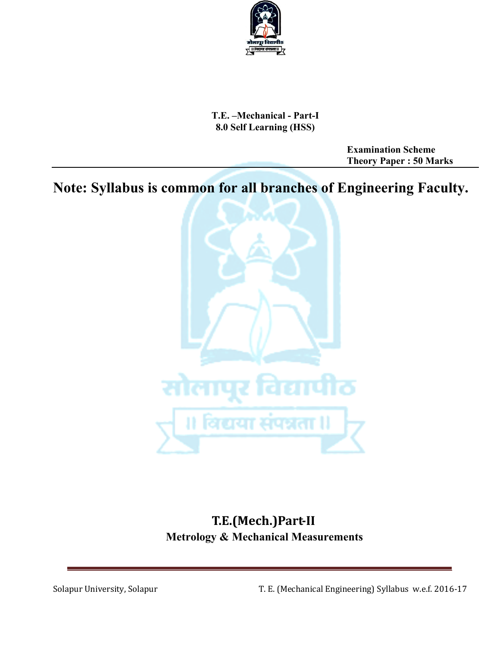

**T.E. –Mechanical - Part-I 8.0 Self Learning (HSS)** 

> **Examination Scheme Theory Paper : 50 Marks**

**Note: Syllabus is common for all branches of Engineering Faculty.**



# **T.E.(Mech.)PartII Metrology & Mechanical Measurements**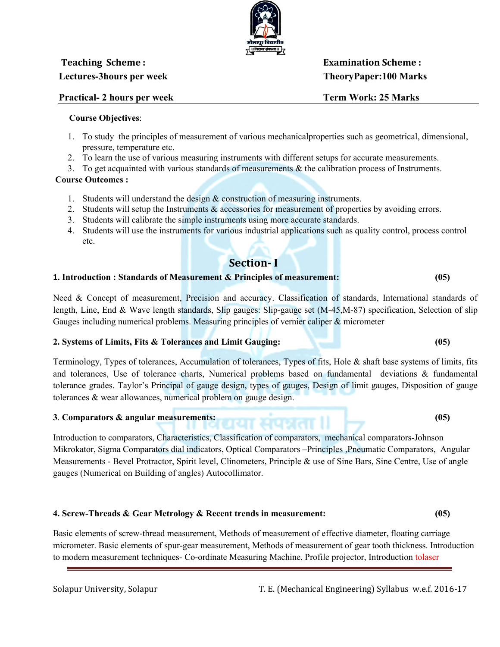

#### **Teaching Scheme : Examination Scheme : Lectures-3hours per week TheoryPaper:100 Marks**

#### **Practical- 2 hours per week Term Work: 25 Marks Term Work: 25 Marks**

#### **Course Objectives**:

- 1. To study the principles of measurement of various mechanicalproperties such as geometrical, dimensional, pressure, temperature etc.
- 2. To learn the use of various measuring instruments with different setups for accurate measurements.
- 3. To get acquainted with various standards of measurements & the calibration process of Instruments.

#### **Course Outcomes :**

- 1. Students will understand the design & construction of measuring instruments.
- 2. Students will setup the Instruments & accessories for measurement of properties by avoiding errors.
- 3. Students will calibrate the simple instruments using more accurate standards.
- 4. Students will use the instruments for various industrial applications such as quality control, process control etc.

#### **Section I**

#### **1. Introduction : Standards of Measurement & Principles of measurement: (05)**

Need & Concept of measurement, Precision and accuracy. Classification of standards, International standards of length, Line, End & Wave length standards, Slip gauges: Slip-gauge set (M-45,M-87) specification, Selection of slip Gauges including numerical problems. Measuring principles of vernier caliper & micrometer

#### **2. Systems of Limits, Fits & Tolerances and Limit Gauging: (05)**

Terminology, Types of tolerances, Accumulation of tolerances, Types of fits, Hole & shaft base systems of limits, fits and tolerances, Use of tolerance charts, Numerical problems based on fundamental deviations & fundamental tolerance grades. Taylor's Principal of gauge design, types of gauges, Design of limit gauges, Disposition of gauge tolerances & wear allowances, numerical problem on gauge design.

# **3**. **Comparators & angular measurements: (05)**

Introduction to comparators, Characteristics, Classification of comparators, mechanical comparators-Johnson Mikrokator, Sigma Comparators dial indicators, Optical Comparators **–**Principles ,Pneumatic Comparators, Angular Measurements - Bevel Protractor, Spirit level, Clinometers, Principle & use of Sine Bars, Sine Centre, Use of angle gauges (Numerical on Building of angles) Autocollimator.

**4. Screw-Threads & Gear Metrology & Recent trends in measurement: (05)**

Basic elements of screw-thread measurement, Methods of measurement of effective diameter, floating carriage micrometer. Basic elements of spur-gear measurement, Methods of measurement of gear tooth thickness. Introduction to modern measurement techniques- Co-ordinate Measuring Machine, Profile projector, Introduction tolaser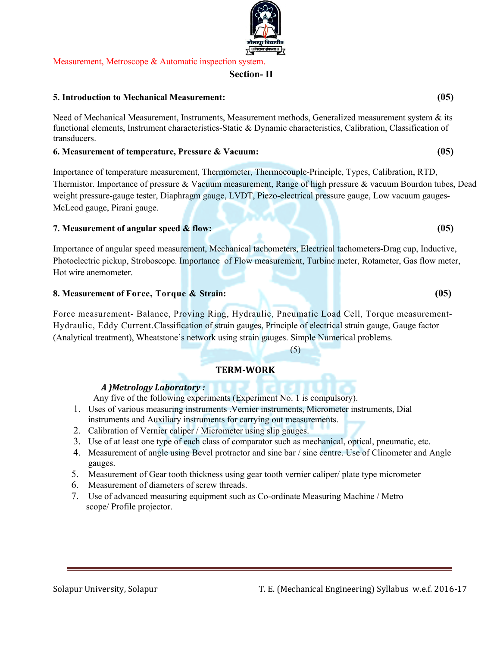### **5. Introduction to Mechanical Measurement: (05)**

Need of Mechanical Measurement, Instruments, Measurement methods, Generalized measurement system & its functional elements, Instrument characteristics-Static & Dynamic characteristics, Calibration, Classification of transducers.

**Section- II**

#### **6. Measurement of temperature, Pressure & Vacuum: (05)**

Importance of temperature measurement, Thermometer, Thermocouple-Principle, Types, Calibration, RTD, Thermistor. Importance of pressure & Vacuum measurement, Range of high pressure & vacuum Bourdon tubes, Dead weight pressure-gauge tester, Diaphragm gauge, LVDT, Piezo-electrical pressure gauge, Low vacuum gauges-McLeod gauge, Pirani gauge.

#### **7. Measurement of angular speed & flow: (05)**

Importance of angular speed measurement, Mechanical tachometers, Electrical tachometers-Drag cup, Inductive, Photoelectric pickup, Stroboscope. Importance of Flow measurement, Turbine meter, Rotameter, Gas flow meter, Hot wire anemometer.

#### **8. Measurement of Force, Torque & Strain: (05)**

Force measurement- Balance, Proving Ring, Hydraulic, Pneumatic Load Cell, Torque measurement-Hydraulic, Eddy Current.Classification of strain gauges, Principle of electrical strain gauge, Gauge factor (Analytical treatment), Wheatstone's network using strain gauges. Simple Numerical problems.

#### **TERMWORK**

#### *A )Metrology Laboratory :*

Any five of the following experiments (Experiment No. 1 is compulsory).

- 1. Uses of various measuring instruments .Vernier instruments, Micrometer instruments, Dial instruments and Auxiliary instruments for carrying out measurements.
- 2. Calibration of Vernier caliper / Micrometer using slip gauges.

 $(5)$ 

- 3. Use of at least one type of each class of comparator such as mechanical, optical, pneumatic, etc.
- 4. Measurement of angle using Bevel protractor and sine bar / sine centre. Use of Clinometer and Angle gauges.
- 5. Measurement of Gear tooth thickness using gear tooth vernier caliper/ plate type micrometer
- 6. Measurement of diameters of screw threads.
- 7. Use of advanced measuring equipment such as Co-ordinate Measuring Machine / Metro scope/ Profile projector.

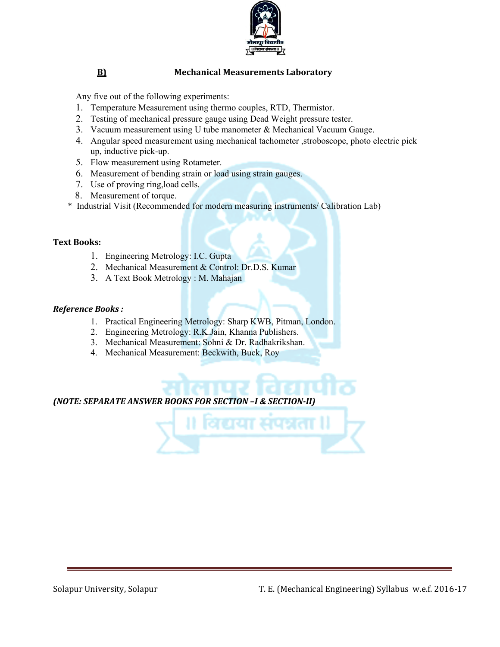

**B) Mechanical Measurements Laboratory**

Any five out of the following experiments:

- 1. Temperature Measurement using thermo couples, RTD, Thermistor.
- 2. Testing of mechanical pressure gauge using Dead Weight pressure tester.
- 3. Vacuum measurement using U tube manometer & Mechanical Vacuum Gauge.
- 4. Angular speed measurement using mechanical tachometer ,stroboscope, photo electric pick up, inductive pick-up.
- 5. Flow measurement using Rotameter.
- 6. Measurement of bending strain or load using strain gauges.
- 7. Use of proving ring,load cells.
- 8. Measurement of torque.
- \* Industrial Visit (Recommended for modern measuring instruments/ Calibration Lab)

#### **Text Books:**

- 1. Engineering Metrology: I.C. Gupta
- 2. Mechanical Measurement & Control: Dr.D.S. Kumar
- 3. A Text Book Metrology : M. Mahajan

#### *Reference Books :*

- 1. Practical Engineering Metrology: Sharp KWB, Pitman, London.
- 2. Engineering Metrology: R.K.Jain, Khanna Publishers.
- 3. Mechanical Measurement: Sohni & Dr. Radhakrikshan.
- 4. Mechanical Measurement: Beckwith, Buck, Roy

*(NOTE: SEPARATE ANSWER BOOKS FOR SECTION –I & SECTIONII)*

seeartl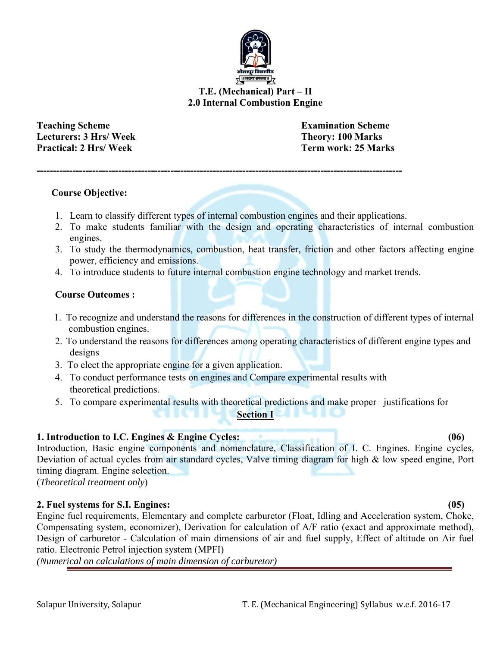

#### **T.E. (Mechanical) Part – II 2.0 Internal Combustion Engine**

**Teaching Scheme Examination Scheme** Lecturers: 3 Hrs/ Week Theory: 100 Marks **Practical: 2 Hrs/ Week Term work: 25 Marks** 

#### **Course Objective:**

1. Learn to classify different types of internal combustion engines and their applications.

**----------------------------------------------------------------------------------------------------------------** 

- 2. To make students familiar with the design and operating characteristics of internal combustion engines.
- 3. To study the thermodynamics, combustion, heat transfer, friction and other factors affecting engine power, efficiency and emissions.
- 4. To introduce students to future internal combustion engine technology and market trends.

#### **Course Outcomes :**

- 1. To recognize and understand the reasons for differences in the construction of different types of internal combustion engines.
- 2. To understand the reasons for differences among operating characteristics of different engine types and designs
- 3. To elect the appropriate engine for a given application.
- 4. To conduct performance tests on engines and Compare experimental results with theoretical predictions.
- 5. To compare experimental results with theoretical predictions and make proper justifications for

#### **Section I**

#### **1. Introduction to I.C. Engines & Engine Cycles: (06)**

Introduction, Basic engine components and nomenclature, Classification of I. C. Engines. Engine cycles, Deviation of actual cycles from air standard cycles. Valve timing diagram for high & low speed engine, Port timing diagram. Engine selection.

(*Theoretical treatment only*)

#### **2. Fuel systems for S.I. Engines: (05)**

Engine fuel requirements, Elementary and complete carburetor (Float, Idling and Acceleration system, Choke, Compensating system, economizer), Derivation for calculation of A/F ratio (exact and approximate method), Design of carburetor - Calculation of main dimensions of air and fuel supply, Effect of altitude on Air fuel ratio. Electronic Petrol injection system (MPFI)

*(Numerical on calculations of main dimension of carburetor)*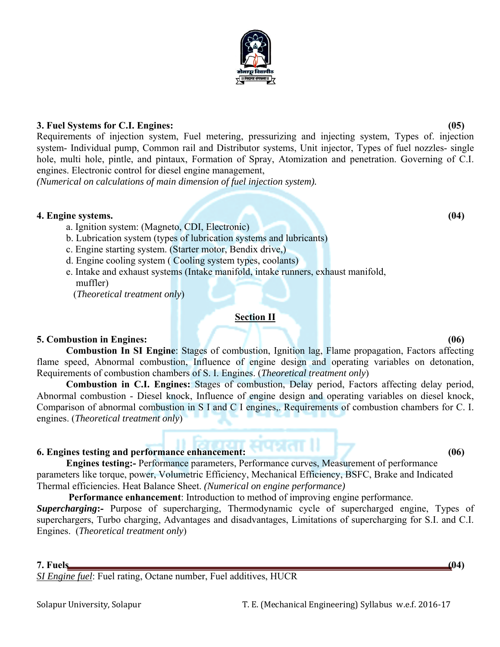### **3. Fuel Systems for C.I. Engines: (05)**

Requirements of injection system, Fuel metering, pressurizing and injecting system, Types of. injection system- Individual pump, Common rail and Distributor systems, Unit injector, Types of fuel nozzles- single hole, multi hole, pintle, and pintaux, Formation of Spray, Atomization and penetration. Governing of C.I. engines. Electronic control for diesel engine management,

*(Numerical on calculations of main dimension of fuel injection system).* 

#### **4. Engine systems. (04)**

- a. Ignition system: (Magneto, CDI, Electronic)
- b. Lubrication system (types of lubrication systems and lubricants)
- c. Engine starting system. (Starter motor, Bendix drive,)
- d. Engine cooling system ( Cooling system types, coolants)
- e. Intake and exhaust systems (Intake manifold, intake runners, exhaust manifold, muffler)

(*Theoretical treatment only*)

#### **Section II**

#### **5. Combustion in Engines: (06)**

**Combustion In SI Engine**: Stages of combustion, Ignition lag, Flame propagation, Factors affecting flame speed, Abnormal combustion, Influence of engine design and operating variables on detonation, Requirements of combustion chambers of S. I. Engines. (*Theoretical treatment only*)

**Combustion in C.I. Engines:** Stages of combustion, Delay period, Factors affecting delay period, Abnormal combustion - Diesel knock, Influence of engine design and operating variables on diesel knock, Comparison of abnormal combustion in S I and C I engines,. Requirements of combustion chambers for C. I. engines. (*Theoretical treatment only*)

# **6. Engines testing and performance enhancement: (06)**

**Engines testing:-** Performance parameters, Performance curves, Measurement of performance parameters like torque, power, Volumetric Efficiency, Mechanical Efficiency, BSFC, Brake and Indicated Thermal efficiencies. Heat Balance Sheet. *(Numerical on engine performance)* 

**Performance enhancement**: Introduction to method of improving engine performance.

*Supercharging***:-** Purpose of supercharging, Thermodynamic cycle of supercharged engine, Types of superchargers, Turbo charging, Advantages and disadvantages, Limitations of supercharging for S.I. and C.I. Engines. (*Theoretical treatment only*)

#### **7. Fuels (04)**

*SI Engine fuel*: Fuel rating, Octane number, Fuel additives, HUCR



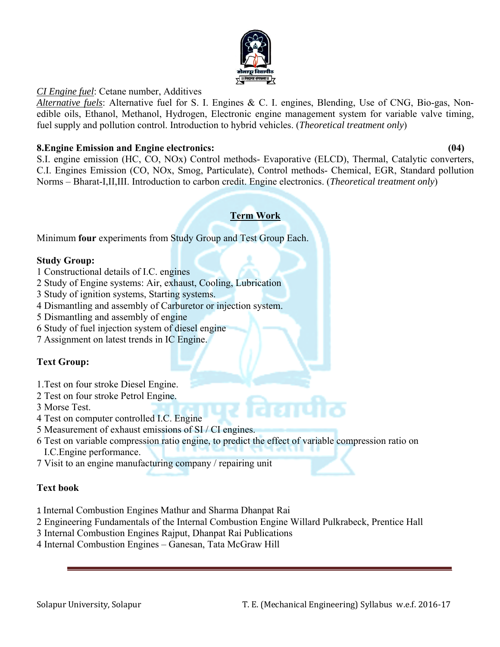### *CI Engine fuel*: Cetane number, Additives

*Alternative fuels*: Alternative fuel for S. I. Engines & C. I. engines, Blending, Use of CNG, Bio-gas, Nonedible oils, Ethanol, Methanol, Hydrogen, Electronic engine management system for variable valve timing, fuel supply and pollution control. Introduction to hybrid vehicles. (*Theoretical treatment only*)

#### **8.Engine Emission and Engine electronics: (04)**

S.I. engine emission (HC, CO, NOx) Control methods- Evaporative (ELCD), Thermal, Catalytic converters, C.I. Engines Emission (CO, NOx, Smog, Particulate), Control methods- Chemical, EGR, Standard pollution Norms – Bharat-I,II,III. Introduction to carbon credit. Engine electronics. (*Theoretical treatment only*)

#### **Term Work**

Minimum **four** experiments from Study Group and Test Group Each.

#### **Study Group:**

- 1 Constructional details of I.C. engines
- 2 Study of Engine systems: Air, exhaust, Cooling, Lubrication
- 3 Study of ignition systems, Starting systems.
- 4 Dismantling and assembly of Carburetor or injection system.
- 5 Dismantling and assembly of engine
- 6 Study of fuel injection system of diesel engine
- 7 Assignment on latest trends in IC Engine.

#### **Text Group:**

- 1.Test on four stroke Diesel Engine.
- 2 Test on four stroke Petrol Engine.
- 3 Morse Test.
- 4 Test on computer controlled I.C. Engine
- 5 Measurement of exhaust emissions of SI / CI engines.
- 6 Test on variable compression ratio engine, to predict the effect of variable compression ratio on I.C.Engine performance.
- 7 Visit to an engine manufacturing company / repairing unit

#### **Text book**

- 1 Internal Combustion Engines Mathur and Sharma Dhanpat Rai
- 2 Engineering Fundamentals of the Internal Combustion Engine Willard Pulkrabeck, Prentice Hall
- 3 Internal Combustion Engines Rajput, Dhanpat Rai Publications
- 4 Internal Combustion Engines Ganesan, Tata McGraw Hill

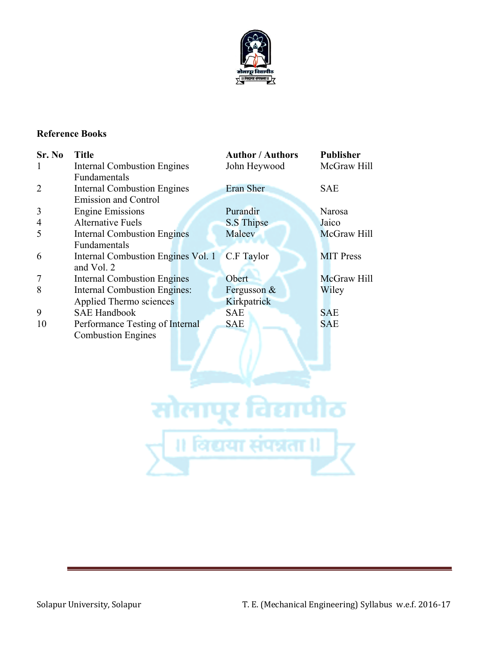

#### **Reference Books**

| Sr. No         | <b>Title</b>                       | <b>Author / Authors</b> | <b>Publisher</b> |
|----------------|------------------------------------|-------------------------|------------------|
|                | <b>Internal Combustion Engines</b> | John Heywood            | McGraw Hill      |
|                | Fundamentals                       |                         |                  |
| $\overline{2}$ | <b>Internal Combustion Engines</b> | Eran Sher               | <b>SAE</b>       |
|                | <b>Emission and Control</b>        |                         |                  |
| 3              | <b>Engine Emissions</b>            | Purandir                | Narosa           |
| $\overline{4}$ | <b>Alternative Fuels</b>           | S.S Thipse              | Jaico            |
| 5              | <b>Internal Combustion Engines</b> | Maleev                  | McGraw Hill      |
|                | Fundamentals                       |                         |                  |
| 6              | Internal Combustion Engines Vol. 1 | C.F Taylor              | <b>MIT Press</b> |
|                | and Vol. 2                         |                         |                  |
| $\overline{7}$ | <b>Internal Combustion Engines</b> | Obert                   | McGraw Hill      |
| 8              | Internal Combustion Engines:       | Fergusson $&$           | Wiley            |
|                | Applied Thermo sciences            | Kirkpatrick             |                  |
| 9              | <b>SAE Handbook</b>                | <b>SAE</b>              | <b>SAE</b>       |
| 10             | Performance Testing of Internal    | <b>SAE</b>              | <b>SAE</b>       |
|                | <b>Combustion Engines</b>          |                         |                  |
|                |                                    |                         |                  |
|                |                                    |                         |                  |
|                |                                    |                         |                  |
|                |                                    |                         |                  |

सोलापूर विद्यापीठ<br>प्रालियण संपन्नता ||<br>प्रालियण संपन्नता ||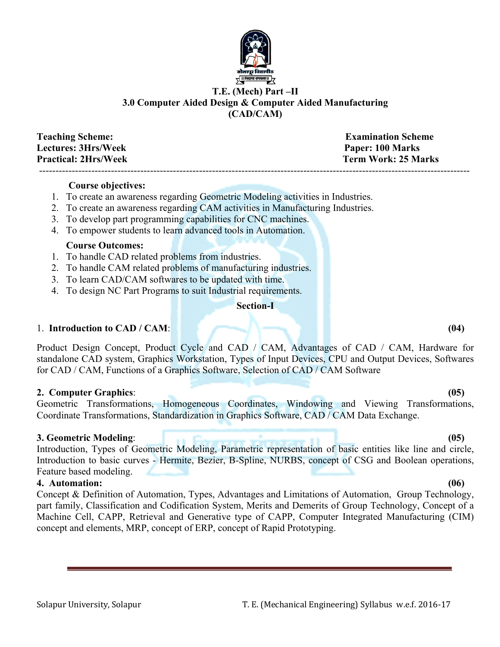

#### **T.E. (Mech) Part –II 3.0 Computer Aided Design & Computer Aided Manufacturing (CAD/CAM)**

------------------------------------------------------------------------------------------------------------------------------------

**Teaching Scheme: Examination Scheme Lectures: 3Hrs/Week Paper: 100 Marks** 

**Practical: 2Hrs/Week Term Work: 25 Marks**

#### **Course objectives:**

- 1. To create an awareness regarding Geometric Modeling activities in Industries.
- 2. To create an awareness regarding CAM activities in Manufacturing Industries.
- 3. To develop part programming capabilities for CNC machines.
- 4. To empower students to learn advanced tools in Automation.

#### **Course Outcomes:**

- 1. To handle CAD related problems from industries.
- 2. To handle CAM related problems of manufacturing industries.
- 3. To learn CAD/CAM softwares to be updated with time.
- 4. To design NC Part Programs to suit Industrial requirements.

#### **Section-I**

#### 1. **Introduction to CAD / CAM**: **(04)**

Product Design Concept, Product Cycle and CAD / CAM, Advantages of CAD / CAM, Hardware for standalone CAD system, Graphics Workstation, Types of Input Devices, CPU and Output Devices, Softwares for CAD / CAM, Functions of a Graphics Software, Selection of CAD / CAM Software

#### **2. Computer Graphics**: **(05)**

Geometric Transformations, Homogeneous Coordinates, Windowing and Viewing Transformations, Coordinate Transformations, Standardization in Graphics Software, CAD / CAM Data Exchange.

#### **3. Geometric Modeling**: **(05)**

Introduction, Types of Geometric Modeling, Parametric representation of basic entities like line and circle, Introduction to basic curves - Hermite, Bezier, B-Spline, NURBS, concept of CSG and Boolean operations, Feature based modeling.

#### **4. Automation: (06)**

Concept & Definition of Automation, Types, Advantages and Limitations of Automation, Group Technology, part family, Classification and Codification System, Merits and Demerits of Group Technology, Concept of a Machine Cell, CAPP, Retrieval and Generative type of CAPP, Computer Integrated Manufacturing (CIM) concept and elements, MRP, concept of ERP, concept of Rapid Prototyping.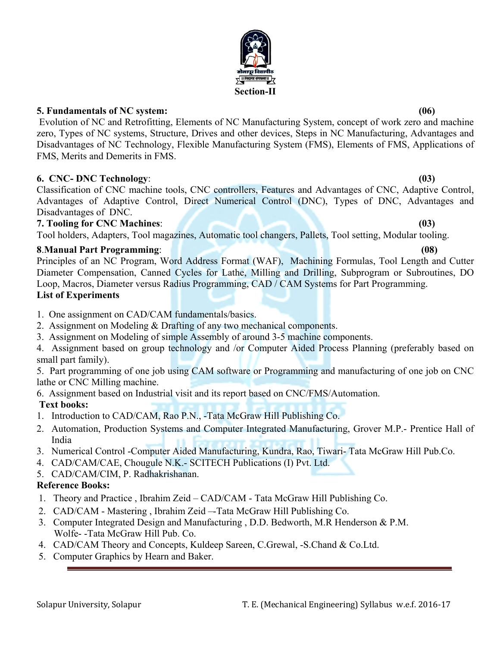### **5. Fundamentals of NC system: (06)**

 Evolution of NC and Retrofitting, Elements of NC Manufacturing System, concept of work zero and machine zero, Types of NC systems, Structure, Drives and other devices, Steps in NC Manufacturing, Advantages and Disadvantages of NC Technology, Flexible Manufacturing System (FMS), Elements of FMS, Applications of FMS, Merits and Demerits in FMS.

### **6. CNC- DNC Technology**: **(03)**

Classification of CNC machine tools, CNC controllers, Features and Advantages of CNC, Adaptive Control, Advantages of Adaptive Control, Direct Numerical Control (DNC), Types of DNC, Advantages and Disadvantages of DNC.

#### **7. Tooling for CNC Machines**: **(03)**

Tool holders, Adapters, Tool magazines, Automatic tool changers, Pallets, Tool setting, Modular tooling.

### **8**.**Manual Part Programming**: **(08)**

Principles of an NC Program, Word Address Format (WAF), Machining Formulas, Tool Length and Cutter Diameter Compensation, Canned Cycles for Lathe, Milling and Drilling, Subprogram or Subroutines, DO Loop, Macros, Diameter versus Radius Programming, CAD / CAM Systems for Part Programming.

### **List of Experiments**

- 1. One assignment on CAD/CAM fundamentals/basics.
- 2. Assignment on Modeling & Drafting of any two mechanical components.
- 3. Assignment on Modeling of simple Assembly of around 3-5 machine components.

4. Assignment based on group technology and /or Computer Aided Process Planning (preferably based on small part family).

5. Part programming of one job using CAM software or Programming and manufacturing of one job on CNC lathe or CNC Milling machine.

6. Assignment based on Industrial visit and its report based on CNC/FMS/Automation.

### **Text books:**

- 1. Introduction to CAD/CAM, Rao P.N., -Tata McGraw Hill Publishing Co.
- 2. Automation, Production Systems and Computer Integrated Manufacturing, Grover M.P.- Prentice Hall of India
- 3. Numerical Control -Computer Aided Manufacturing, Kundra, Rao, Tiwari- Tata McGraw Hill Pub.Co.
- 4. CAD/CAM/CAE, Chougule N.K.- SCITECH Publications (I) Pvt. Ltd.
- 5. CAD/CAM/CIM, P. Radhakrishanan.

### **Reference Books:**

- 1. Theory and Practice , Ibrahim Zeid CAD/CAM Tata McGraw Hill Publishing Co.
- 2. CAD/CAM Mastering , Ibrahim Zeid –-Tata McGraw Hill Publishing Co.
- 3. Computer Integrated Design and Manufacturing , D.D. Bedworth, M.R Henderson & P.M. Wolfe- -Tata McGraw Hill Pub. Co.
- 4. CAD/CAM Theory and Concepts, Kuldeep Sareen, C.Grewal, -S.Chand & Co.Ltd.
- 5. Computer Graphics by Hearn and Baker.

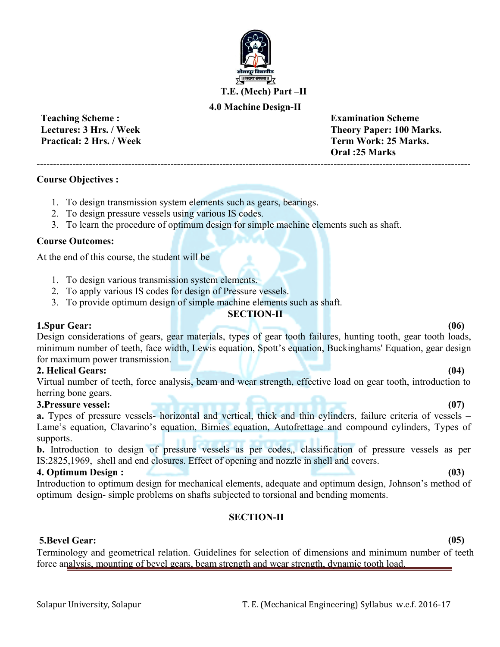

#### **4.0 Machine Design-II**

**Teaching Scheme : Examination Scheme Practical: 2 Hrs. / Week Term Work: 25 Marks.**

**Lectures: 3 Hrs. / Week Theory Paper: 100 Marks. Theory Paper: 100 Marks. Oral :25 Marks**

-------------------------------------------------------------------------------------------------------------------------------------

#### **Course Objectives :**

- 1. To design transmission system elements such as gears, bearings.
- 2. To design pressure vessels using various IS codes.
- 3. To learn the procedure of optimum design for simple machine elements such as shaft.

#### **Course Outcomes:**

At the end of this course, the student will be

- 1. To design various transmission system elements.
- 2. To apply various IS codes for design of Pressure vessels.
- 3. To provide optimum design of simple machine elements such as shaft.

#### **SECTION-II**

#### **1.Spur Gear: (06)**

Design considerations of gears, gear materials, types of gear tooth failures, hunting tooth, gear tooth loads, minimum number of teeth, face width, Lewis equation, Spott's equation, Buckinghams' Equation, gear design for maximum power transmission.

#### **2. Helical Gears: (04)**

Virtual number of teeth, force analysis, beam and wear strength, effective load on gear tooth, introduction to herring bone gears.

#### **3.Pressure vessel: (07)**

**a.** Types of pressure vessels- horizontal and vertical, thick and thin cylinders, failure criteria of vessels – Lame's equation, Clavarino's equation, Birnies equation, Autofrettage and compound cylinders, Types of supports.

**b.** Introduction to design of pressure vessels as per codes,, classification of pressure vessels as per IS:2825,1969, shell and end closures. Effect of opening and nozzle in shell and covers.

#### **4. Optimum Design : (03)**

Introduction to optimum design for mechanical elements, adequate and optimum design, Johnson's method of optimum design- simple problems on shafts subjected to torsional and bending moments.

#### **SECTION-II**

#### **5.Bevel Gear: (05)**

Terminology and geometrical relation. Guidelines for selection of dimensions and minimum number of teeth force analysis, mounting of bevel gears, beam strength and wear strength, dynamic tooth load.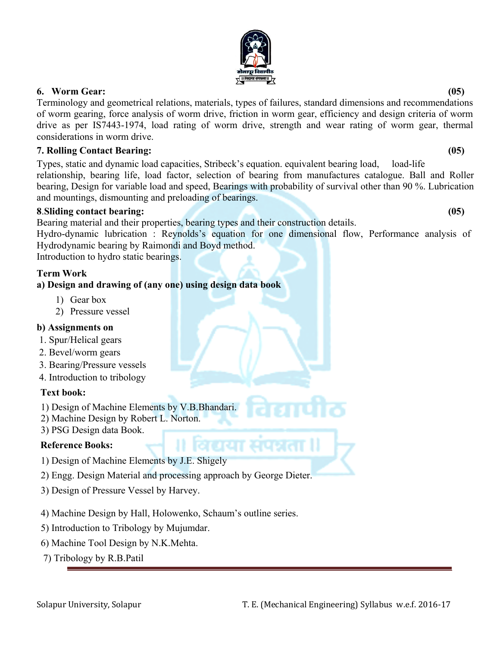#### drive as per IS7443-1974, load rating of worm drive, strength and wear rating of worm gear, thermal considerations in worm drive.

#### **7. Rolling Contact Bearing: (05)**

Types, static and dynamic load capacities, Stribeck's equation. equivalent bearing load, load-life relationship, bearing life, load factor, selection of bearing from manufactures catalogue. Ball and Roller bearing, Design for variable load and speed, Bearings with probability of survival other than 90 %. Lubrication and mountings, dismounting and preloading of bearings.

#### **8**.**Sliding contact bearing: (05)**

Bearing material and their properties, bearing types and their construction details.

Hydro-dynamic lubrication : Reynolds's equation for one dimensional flow, Performance analysis of Hydrodynamic bearing by Raimondi and Boyd method.

हाया थय

Introduction to hydro static bearings.

#### **Term Work**

#### **a) Design and drawing of (any one) using design data book**

- 1) Gear box
- 2) Pressure vessel

#### **b) Assignments on**

- 1. Spur/Helical gears
- 2. Bevel/worm gears
- 3. Bearing/Pressure vessels
- 4. Introduction to tribology

#### **Text book:**

- 1) Design of Machine Elements by V.B.Bhandari.
- 2) Machine Design by Robert L. Norton.
- 3) PSG Design data Book.

#### **Reference Books:**

- 1) Design of Machine Elements by J.E. Shigely
- 2) Engg. Design Material and processing approach by George Dieter.
- 3) Design of Pressure Vessel by Harvey.
- 4) Machine Design by Hall, Holowenko, Schaum's outline series.
- 5) Introduction to Tribology by Mujumdar.
- 6) Machine Tool Design by N.K.Mehta.
- 7) Tribology by R.B.Patil



Terminology and geometrical relations, materials, types of failures, standard dimensions and recommendations

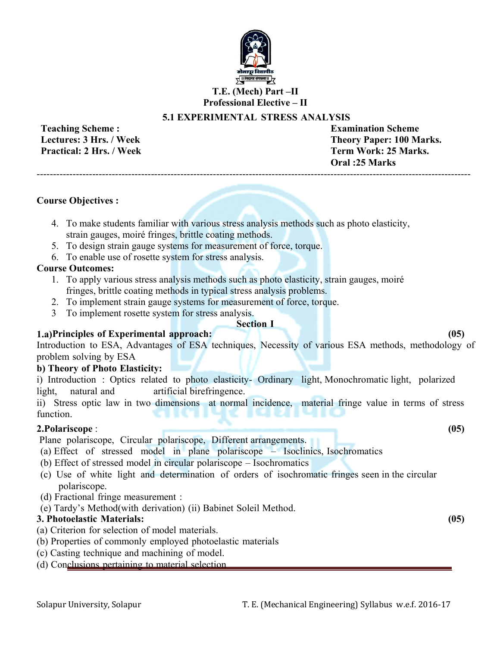

#### **T.E. (Mech) Part –II Professional Elective – II**

#### **5.1 EXPERIMENTAL STRESS ANALYSIS**

**Teaching Scheme : Examination Scheme** Practical: 2 Hrs. / Week Term Work: 25 Marks.

**Lectures: 3 Hrs. / Week Theory Paper: 100 Marks. Theory Paper: 100 Marks. Oral :25 Marks** -------------------------------------------------------------------------------------------------------------------------------------

#### **Course Objectives :**

- 4. To make students familiar with various stress analysis methods such as photo elasticity, strain gauges, moiré fringes, brittle coating methods.
- 5. To design strain gauge systems for measurement of force, torque.
- 6. To enable use of rosette system for stress analysis.

#### **Course Outcomes:**

- 1. To apply various stress analysis methods such as photo elasticity, strain gauges, moiré fringes, brittle coating methods in typical stress analysis problems.
- 2. To implement strain gauge systems for measurement of force, torque.
- 3 To implement rosette system for stress analysis.

#### **Section I**

#### **1.a)Principles of Experimental approach: (05)**

Introduction to ESA, Advantages of ESA techniques, Necessity of various ESA methods, methodology of problem solving by ESA

#### **b) Theory of Photo Elasticity:**

i) Introduction : Optics related to photo elasticity- Ordinary light, Monochromatic light, polarized light, natural and artificial birefringence.

ii) Stress optic law in two dimensions at normal incidence, material fringe value in terms of stress function. . . . . . . .

#### **2.Polariscope** : **(05)**

Plane polariscope, Circular polariscope, Different arrangements.

- (a) Effect of stressed model in plane polariscope Isoclinics, Isochromatics
- (b) Effect of stressed model in circular polariscope Isochromatics
- (c) Use of white light and determination of orders of isochromatic fringes seen in the circular polariscope.
- (d) Fractional fringe measurement :
- (e) Tardy's Method(with derivation) (ii) Babinet Soleil Method.

#### **3. Photoelastic Materials: (05)**

- (a) Criterion for selection of model materials.
- (b) Properties of commonly employed photoelastic materials
- (c) Casting technique and machining of model.
- (d) Conclusions pertaining to material selection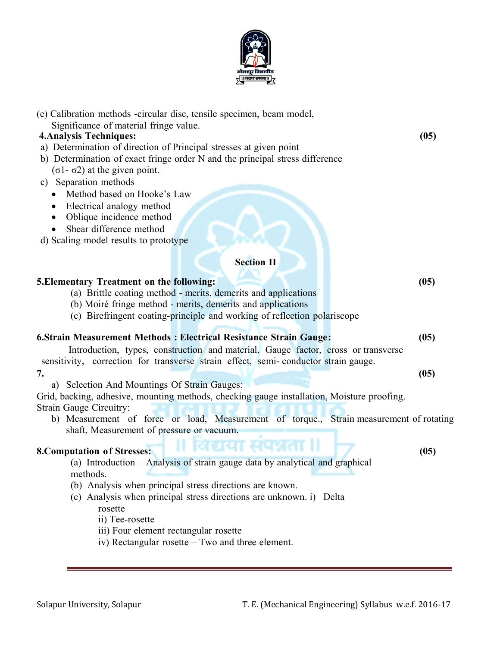

| (e) Calibration methods -circular disc, tensile specimen, beam model,<br>Significance of material fringe value.<br>4. Analysis Techniques:<br>a) Determination of direction of Principal stresses at given point<br>b) Determination of exact fringe order N and the principal stress difference<br>$(\sigma$ 1- $\sigma$ 2) at the given point.<br>c) Separation methods<br>Method based on Hooke's Law<br>Electrical analogy method<br>Oblique incidence method<br>Shear difference method<br>d) Scaling model results to prototype | (05) |
|---------------------------------------------------------------------------------------------------------------------------------------------------------------------------------------------------------------------------------------------------------------------------------------------------------------------------------------------------------------------------------------------------------------------------------------------------------------------------------------------------------------------------------------|------|
| <b>Section II</b>                                                                                                                                                                                                                                                                                                                                                                                                                                                                                                                     |      |
| <b>5. Elementary Treatment on the following:</b><br>(a) Brittle coating method - merits, demerits and applications<br>(b) Moiré fringe method - merits, demerits and applications<br>(c) Birefringent coating-principle and working of reflection polariscope                                                                                                                                                                                                                                                                         | (05) |
| 6. Strain Measurement Methods: Electrical Resistance Strain Gauge:                                                                                                                                                                                                                                                                                                                                                                                                                                                                    | (05) |
| Introduction, types, construction and material, Gauge factor, cross or transverse<br>sensitivity, correction for transverse strain effect, semi-conductor strain gauge.<br>7.<br>a) Selection And Mountings Of Strain Gauges:                                                                                                                                                                                                                                                                                                         | (05) |
| Grid, backing, adhesive, mounting methods, checking gauge installation, Moisture proofing.<br>Strain Gauge Circuitry:<br>b) Measurement of force or load, Measurement of torque., Strain measurement of rotating<br>shaft, Measurement of pressure or vacuum.                                                                                                                                                                                                                                                                         |      |
| ाया सपन्नता ।।<br><b>8. Computation of Stresses:</b><br>(a) Introduction – Analysis of strain gauge data by analytical and graphical<br>methods.<br>(b) Analysis when principal stress directions are known.                                                                                                                                                                                                                                                                                                                          | (05) |
| (c) Analysis when principal stress directions are unknown. i) Delta<br>rosette<br>ii) Tee-rosette<br>iii) Four element rectangular rosette<br>iv) Rectangular rosette – Two and three element.                                                                                                                                                                                                                                                                                                                                        |      |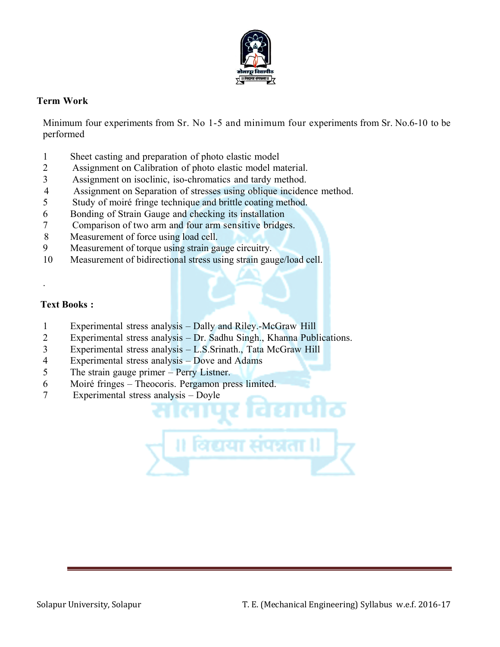

#### **Term Work**

Minimum four experiments from Sr. No 1-5 and minimum four experiments from Sr. No.6-10 to be performed

।। विद्यया संपन्नता ॥

- 1 Sheet casting and preparation of photo elastic model
- 2 Assignment on Calibration of photo elastic model material.
- 3 Assignment on isoclinic, iso-chromatics and tardy method.
- 4 Assignment on Separation of stresses using oblique incidence method.
- 5 Study of moiré fringe technique and brittle coating method.
- 6 Bonding of Strain Gauge and checking its installation
- 7 Comparison of two arm and four arm sensitive bridges.
- 8 Measurement of force using load cell.
- 9 Measurement of torque using strain gauge circuitry.
- 10 Measurement of bidirectional stress using strain gauge/load cell.

#### **Text Books :**

.

- 1 Experimental stress analysis Dally and Riley.-McGraw Hill
- 2 Experimental stress analysis Dr. Sadhu Singh., Khanna Publications.
- 3 Experimental stress analysis L.S.Srinath., Tata McGraw Hill
- 4 Experimental stress analysis Dove and Adams
- 5 The strain gauge primer Perry Listner.
- 6 Moiré fringes Theocoris. Pergamon press limited.
- 7 Experimental stress analysis Doyle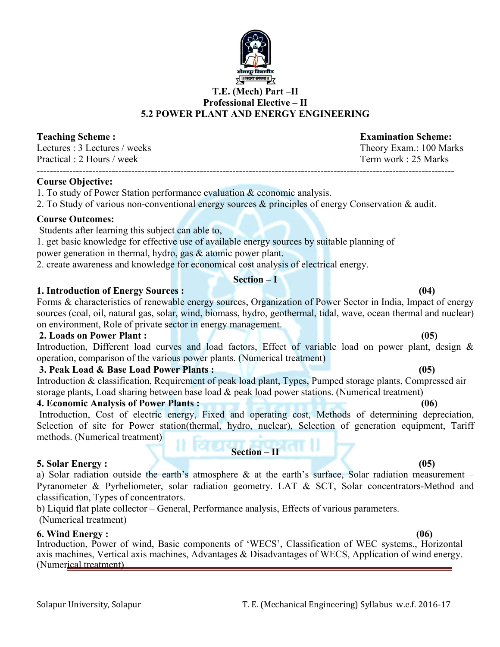#### Solapur University, Solapur T. E. (Mechanical Engineering) Syllabus w.e.f. 2016‐17

#### **T.E. (Mech) Part –II Professional Elective – II 5.2 POWER PLANT AND ENERGY ENGINEERING**

Lectures : 3 Lectures / weeks Theory Exam.: 100 Marks Practical : 2 Hours / week Term work : 25 Marks

#### **Course Objective:**

1. To study of Power Station performance evaluation & economic analysis.

2. To Study of various non-conventional energy sources & principles of energy Conservation & audit.

--------------------------------------------------------------------------------------------------------------------------------

#### **Course Outcomes:**

Students after learning this subject can able to,

1. get basic knowledge for effective use of available energy sources by suitable planning of

power generation in thermal, hydro, gas & atomic power plant.

2. create awareness and knowledge for economical cost analysis of electrical energy.

#### **Section – I**

#### **1. Introduction of Energy Sources : (04)**

Forms & characteristics of renewable energy sources, Organization of Power Sector in India, Impact of energy sources (coal, oil, natural gas, solar, wind, biomass, hydro, geothermal, tidal, wave, ocean thermal and nuclear) on environment, Role of private sector in energy management.

#### **2. Loads on Power Plant : (05)**

Introduction, Different load curves and load factors, Effect of variable load on power plant, design & operation, comparison of the various power plants. (Numerical treatment)

#### **3. Peak Load & Base Load Power Plants : (05)**

Introduction & classification, Requirement of peak load plant, Types, Pumped storage plants, Compressed air storage plants, Load sharing between base load & peak load power stations. (Numerical treatment)

#### **4. Economic Analysis of Power Plants : (06)**

Introduction, Cost of electric energy, Fixed and operating cost, Methods of determining depreciation, Selection of site for Power station(thermal, hydro, nuclear), Selection of generation equipment, Tariff methods. (Numerical treatment) **Section – II** 

#### **5. Solar Energy : (05)**

a) Solar radiation outside the earth's atmosphere & at the earth's surface, Solar radiation measurement – Pyranometer & Pyrheliometer, solar radiation geometry. LAT  $\&$  SCT, Solar concentrators-Method and classification, Types of concentrators.

b) Liquid flat plate collector – General, Performance analysis, Effects of various parameters. (Numerical treatment)

#### **6. Wind Energy : (06)**

Introduction, Power of wind, Basic components of 'WECS', Classification of WEC systems., Horizontal axis machines, Vertical axis machines, Advantages & Disadvantages of WECS, Application of wind energy. (Numerical treatment)

#### **Teaching Scheme : Examination Scheme:**

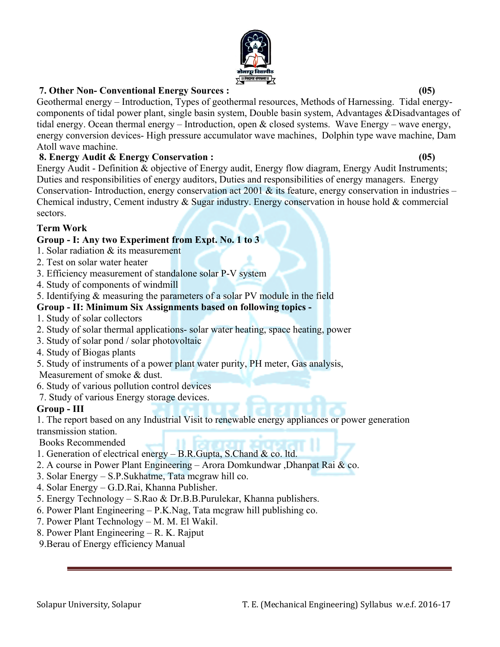### components of tidal power plant, single basin system, Double basin system, Advantages &Disadvantages of

tidal energy. Ocean thermal energy – Introduction, open & closed systems. Wave Energy – wave energy, energy conversion devices- High pressure accumulator wave machines, Dolphin type wave machine, Dam Atoll wave machine.

Geothermal energy – Introduction, Types of geothermal resources, Methods of Harnessing. Tidal energy-

### **8. Energy Audit & Energy Conservation : (05)**

Energy Audit - Definition & objective of Energy audit, Energy flow diagram, Energy Audit Instruments; Duties and responsibilities of energy auditors, Duties and responsibilities of energy managers. Energy Conservation- Introduction, energy conservation act 2001  $\&$  its feature, energy conservation in industries – Chemical industry, Cement industry & Sugar industry. Energy conservation in house hold & commercial sectors.

#### **Term Work**

#### **Group - I: Any two Experiment from Expt. No. 1 to 3**

- 1. Solar radiation & its measurement
- 2. Test on solar water heater
- 3. Efficiency measurement of standalone solar P-V system
- 4. Study of components of windmill

#### 5. Identifying & measuring the parameters of a solar PV module in the field

#### **Group - II: Minimum Six Assignments based on following topics -**

- 1. Study of solar collectors
- 2. Study of solar thermal applications- solar water heating, space heating, power
- 3. Study of solar pond / solar photovoltaic
- 4. Study of Biogas plants
- 5. Study of instruments of a power plant water purity, PH meter, Gas analysis,
- Measurement of smoke & dust.
- 6. Study of various pollution control devices
- 7. Study of various Energy storage devices.

#### **Group - III**

1. The report based on any Industrial Visit to renewable energy appliances or power generation transmission station.

Books Recommended

- 1. Generation of electrical energy B.R.Gupta, S.Chand & co. ltd.
- 2. A course in Power Plant Engineering Arora Domkundwar ,Dhanpat Rai & co.
- 3. Solar Energy S.P.Sukhatme, Tata mcgraw hill co.
- 4. Solar Energy G.D.Rai, Khanna Publisher.
- 5. Energy Technology S.Rao & Dr.B.B.Purulekar, Khanna publishers.
- 6. Power Plant Engineering P.K.Nag, Tata mcgraw hill publishing co.
- 7. Power Plant Technology M. M. El Wakil.
- 8. Power Plant Engineering R. K. Rajput
- 9.Berau of Energy efficiency Manual

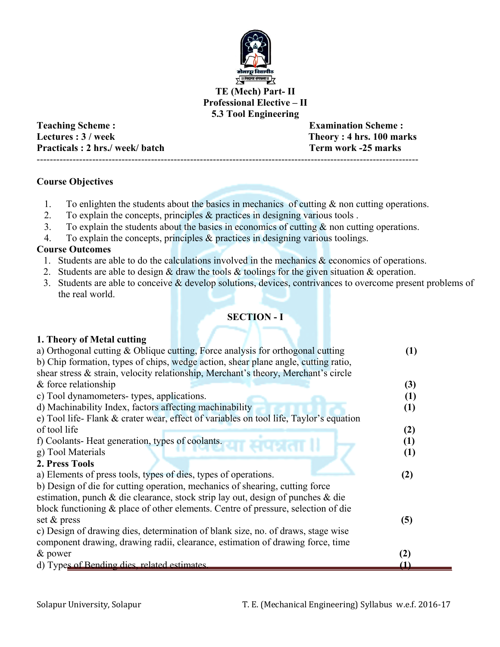

**TE (Mech) Part- II Professional Elective – II 5.3 Tool Engineering** 

**Teaching Scheme : Examination Scheme :**  Lectures :  $3 /$  week Theory :  $4$  hrs. 100 marks **Practicals : 2 hrs./ week/ batch Term work -25 marks** 

#### **Course Objectives**

- 1. To enlighten the students about the basics in mechanics of cutting  $\&$  non cutting operations.
- 2. To explain the concepts, principles & practices in designing various tools .

---------------------------------------------------------------------------------------------------------------------

- 3. To explain the students about the basics in economics of cutting  $\&$  non cutting operations.
- 4. To explain the concepts, principles & practices in designing various toolings.

#### **Course Outcomes**

- 1. Students are able to do the calculations involved in the mechanics & economics of operations.
- 2. Students are able to design  $\&$  draw the tools  $\&$  toolings for the given situation  $\&$  operation.
- 3. Students are able to conceive  $\&$  develop solutions, devices, contrivances to overcome present problems of the real world.

#### **SECTION - I**

#### **1. Theory of Metal cutting**

| a) Orthogonal cutting & Oblique cutting, Force analysis for orthogonal cutting        | (1)              |
|---------------------------------------------------------------------------------------|------------------|
| b) Chip formation, types of chips, wedge action, shear plane angle, cutting ratio,    |                  |
| shear stress & strain, velocity relationship, Merchant's theory, Merchant's circle    |                  |
| & force relationship                                                                  | (3)              |
| c) Tool dynamometers-types, applications.                                             | (1)              |
| d) Machinability Index, factors affecting machinability                               | $\left(1\right)$ |
| e) Tool life-Flank & crater wear, effect of variables on tool life, Taylor's equation |                  |
| of tool life                                                                          | (2)              |
| f) Coolants-Heat generation, types of coolants.                                       | (1)              |
| g) Tool Materials                                                                     | $\left(1\right)$ |
| 2. Press Tools                                                                        |                  |
| a) Elements of press tools, types of dies, types of operations.                       | (2)              |
| b) Design of die for cutting operation, mechanics of shearing, cutting force          |                  |
| estimation, punch $\&$ die clearance, stock strip lay out, design of punches $\&$ die |                  |
| block functioning $\&$ place of other elements. Centre of pressure, selection of die  |                  |
| set $\&$ press                                                                        | (5)              |
| c) Design of drawing dies, determination of blank size, no. of draws, stage wise      |                  |
| component drawing, drawing radii, clearance, estimation of drawing force, time        |                  |
| & power                                                                               | (2)              |
| d) Types of Bending dies, related estimates.                                          |                  |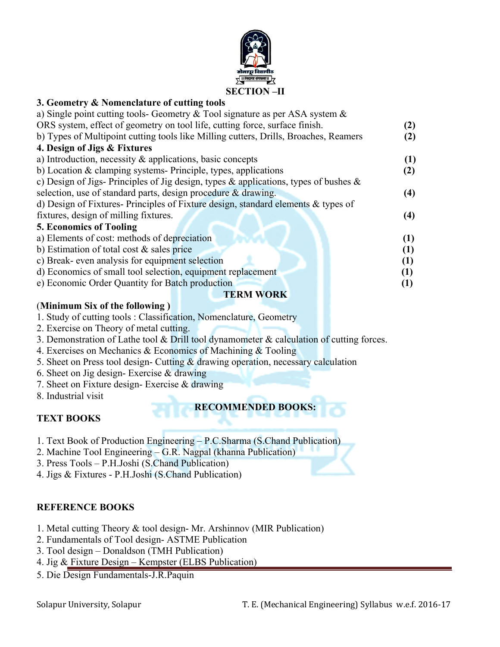

| (2)              |
|------------------|
| (2)              |
|                  |
| (1)              |
| (2)              |
|                  |
| (4)              |
|                  |
| (4)              |
|                  |
| (1)              |
| (1)              |
| (1)              |
| $\left(1\right)$ |
| $\left(1\right)$ |
|                  |
|                  |
|                  |

- 1. Study of cutting tools : Classification, Nomenclature, Geometry
- 2. Exercise on Theory of metal cutting.
- 3. Demonstration of Lathe tool & Drill tool dynamometer & calculation of cutting forces.
- 4. Exercises on Mechanics & Economics of Machining & Tooling
- 5. Sheet on Press tool design- Cutting & drawing operation, necessary calculation
- 6. Sheet on Jig design- Exercise  $&$  drawing
- 7. Sheet on Fixture design- Exercise & drawing
- 8. Industrial visit

**RECOMMENDED BOOKS:** 

#### **TEXT BOOKS**

- 1. Text Book of Production Engineering P.C.Sharma (S.Chand Publication)
- 2. Machine Tool Engineering G.R. Nagpal (khanna Publication)
- 3. Press Tools P.H.Joshi (S.Chand Publication)
- 4. Jigs & Fixtures P.H.Joshi (S.Chand Publication)

#### **REFERENCE BOOKS**

- 1. Metal cutting Theory & tool design- Mr. Arshinnov (MIR Publication)
- 2. Fundamentals of Tool design- ASTME Publication
- 3. Tool design Donaldson (TMH Publication)
- 4. Jig & Fixture Design Kempster (ELBS Publication)
- 5. Die Design Fundamentals-J.R.Paquin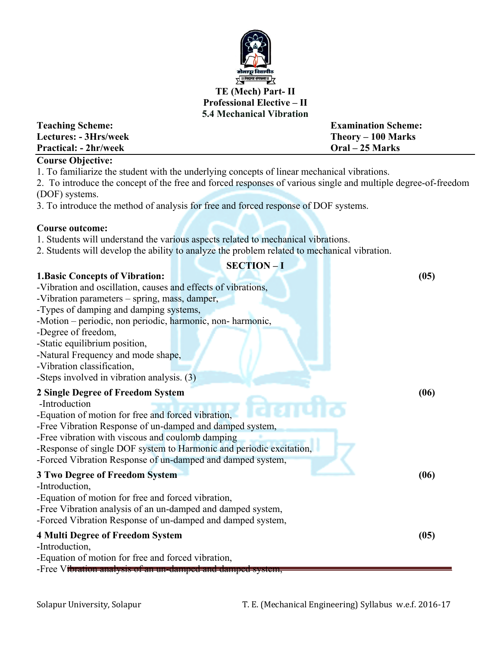

#### **TE (Mech) Part- II Professional Elective – II 5.4 Mechanical Vibration**

| <b>Teaching Scheme:</b>      | <b>Examination Scheme:</b> |
|------------------------------|----------------------------|
| Lectures: - 3Hrs/week        | Theory $-100$ Marks        |
| <b>Practical: - 2hr/week</b> | Oral – 25 Marks            |
|                              |                            |

#### **Course Objective:**

1. To familiarize the student with the underlying concepts of linear mechanical vibrations.

2. To introduce the concept of the free and forced responses of various single and multiple degree-of-freedom (DOF) systems.

**SECTION – I** 

3. To introduce the method of analysis for free and forced response of DOF systems.

#### **Course outcome:**

- 1. Students will understand the various aspects related to mechanical vibrations.
- 2. Students will develop the ability to analyze the problem related to mechanical vibration.

| <b>1. Basic Concepts of Vibration:</b>                              | (05) |
|---------------------------------------------------------------------|------|
| -Vibration and oscillation, causes and effects of vibrations,       |      |
| -Vibration parameters - spring, mass, damper,                       |      |
| -Types of damping and damping systems,                              |      |
| -Motion – periodic, non periodic, harmonic, non-harmonic,           |      |
| -Degree of freedom,                                                 |      |
| -Static equilibrium position,                                       |      |
| -Natural Frequency and mode shape,                                  |      |
| -Vibration classification,                                          |      |
| -Steps involved in vibration analysis. (3)                          |      |
| 2 Single Degree of Freedom System                                   | (06) |
| -Introduction                                                       |      |
| -Equation of motion for free and forced vibration,                  |      |
| -Free Vibration Response of un-damped and damped system,            |      |
| -Free vibration with viscous and coulomb damping                    |      |
| -Response of single DOF system to Harmonic and periodic excitation, |      |
| -Forced Vibration Response of un-damped and damped system,          |      |
|                                                                     |      |
| <b>3 Two Degree of Freedom System</b>                               | (06) |
| -Introduction,                                                      |      |
| -Equation of motion for free and forced vibration,                  |      |
| -Free Vibration analysis of an un-damped and damped system,         |      |
| -Forced Vibration Response of un-damped and damped system,          |      |
| <b>4 Multi Degree of Freedom System</b>                             | (05) |
| -Introduction,                                                      |      |
| -Equation of motion for free and forced vibration,                  |      |

-Free Vibration analysis of an un-damped and damped system,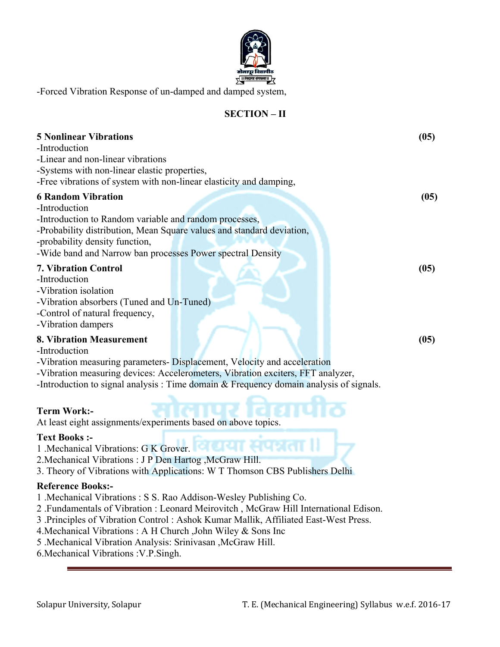

-Forced Vibration Response of un-damped and damped system,

#### **SECTION – II**

| <b>6 Random Vibration</b><br>(05)<br>-Introduction<br>-Introduction to Random variable and random processes,<br>-Probability distribution, Mean Square values and standard deviation,<br>-probability density function,<br>-Wide band and Narrow ban processes Power spectral Density<br><b>7. Vibration Control</b><br>(05)<br>-Introduction<br>-Vibration isolation<br>-Vibration absorbers (Tuned and Un-Tuned)<br>-Control of natural frequency,<br>-Vibration dampers<br><b>8. Vibration Measurement</b><br>(05)<br>-Introduction<br>-Vibration measuring parameters- Displacement, Velocity and acceleration<br>-Vibration measuring devices: Accelerometers, Vibration exciters, FFT analyzer,<br>-Introduction to signal analysis : Time domain $&$ Frequency domain analysis of signals.<br><b>Term Work:-</b><br>At least eight assignments/experiments based on above topics.<br><b>Text Books:-</b><br>1 Mechanical Vibrations: G K Grover. C U U U U U U U U U<br>2. Mechanical Vibrations : J P Den Hartog, McGraw Hill.<br>3. Theory of Vibrations with Applications: W T Thomson CBS Publishers Delhi<br><b>Reference Books:-</b><br>1 .Mechanical Vibrations : S S. Rao Addison-Wesley Publishing Co.<br>2. Fundamentals of Vibration: Leonard Meirovitch, McGraw Hill International Edison. | <b>5 Nonlinear Vibrations</b><br>-Introduction<br>-Linear and non-linear vibrations<br>-Systems with non-linear elastic properties,<br>-Free vibrations of system with non-linear elasticity and damping, | (05) |
|---------------------------------------------------------------------------------------------------------------------------------------------------------------------------------------------------------------------------------------------------------------------------------------------------------------------------------------------------------------------------------------------------------------------------------------------------------------------------------------------------------------------------------------------------------------------------------------------------------------------------------------------------------------------------------------------------------------------------------------------------------------------------------------------------------------------------------------------------------------------------------------------------------------------------------------------------------------------------------------------------------------------------------------------------------------------------------------------------------------------------------------------------------------------------------------------------------------------------------------------------------------------------------------------------------------|-----------------------------------------------------------------------------------------------------------------------------------------------------------------------------------------------------------|------|
|                                                                                                                                                                                                                                                                                                                                                                                                                                                                                                                                                                                                                                                                                                                                                                                                                                                                                                                                                                                                                                                                                                                                                                                                                                                                                                               |                                                                                                                                                                                                           |      |
|                                                                                                                                                                                                                                                                                                                                                                                                                                                                                                                                                                                                                                                                                                                                                                                                                                                                                                                                                                                                                                                                                                                                                                                                                                                                                                               |                                                                                                                                                                                                           |      |
|                                                                                                                                                                                                                                                                                                                                                                                                                                                                                                                                                                                                                                                                                                                                                                                                                                                                                                                                                                                                                                                                                                                                                                                                                                                                                                               |                                                                                                                                                                                                           |      |
|                                                                                                                                                                                                                                                                                                                                                                                                                                                                                                                                                                                                                                                                                                                                                                                                                                                                                                                                                                                                                                                                                                                                                                                                                                                                                                               |                                                                                                                                                                                                           |      |
|                                                                                                                                                                                                                                                                                                                                                                                                                                                                                                                                                                                                                                                                                                                                                                                                                                                                                                                                                                                                                                                                                                                                                                                                                                                                                                               |                                                                                                                                                                                                           |      |
| 3 .Principles of Vibration Control: Ashok Kumar Mallik, Affiliated East-West Press.<br>4. Mechanical Vibrations: A H Church, John Wiley $\&$ Sons Inc<br>5 .Mechanical Vibration Analysis: Srinivasan ,McGraw Hill.<br>6. Mechanical Vibrations: V.P. Singh.                                                                                                                                                                                                                                                                                                                                                                                                                                                                                                                                                                                                                                                                                                                                                                                                                                                                                                                                                                                                                                                  |                                                                                                                                                                                                           |      |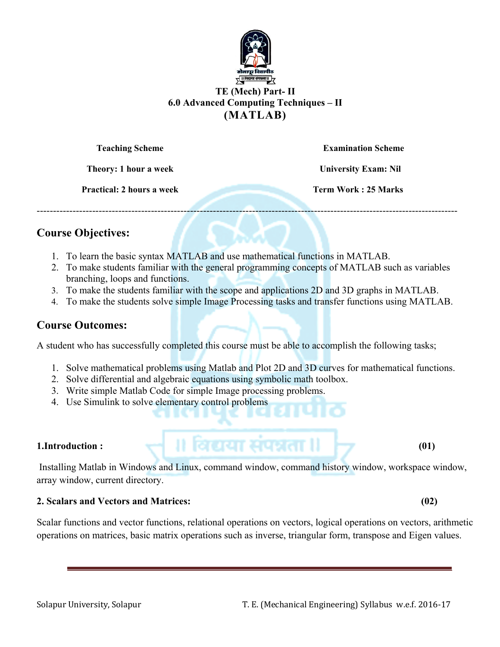

### **TE (Mech) Part- II 6.0 Advanced Computing Techniques – II (MATLAB)**

**Teaching Scheme Examination Scheme Theory: 1 hour a week**  University Exam: Nil **Practical: 2 hours a week Term Work : 25 Marks** ---------------------------------------------------------------------------------------------------------------------------------

### **Course Objectives:**

- 1. To learn the basic syntax MATLAB and use mathematical functions in MATLAB.
- 2. To make students familiar with the general programming concepts of MATLAB such as variables branching, loops and functions.
- 3. To make the students familiar with the scope and applications 2D and 3D graphs in MATLAB.
- 4. To make the students solve simple Image Processing tasks and transfer functions using MATLAB.

#### **Course Outcomes:**

A student who has successfully completed this course must be able to accomplish the following tasks;

- 1. Solve mathematical problems using Matlab and Plot 2D and 3D curves for mathematical functions.
- 2. Solve differential and algebraic equations using symbolic math toolbox.
- 3. Write simple Matlab Code for simple Image processing problems.
- 4. Use Simulink to solve elementary control problems

# 1.Introduction : 11 **au 11 au 11 au 11 au 11 au 11 au 11 a**

 Installing Matlab in Windows and Linux, command window, command history window, workspace window, array window, current directory.

#### **2. Scalars and Vectors and Matrices: (02)**

Scalar functions and vector functions, relational operations on vectors, logical operations on vectors, arithmetic operations on matrices, basic matrix operations such as inverse, triangular form, transpose and Eigen values.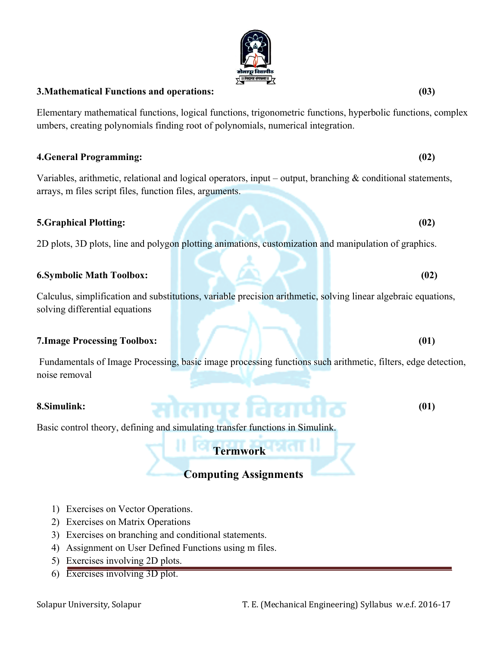#### Solapur University, Solapur T. E. (Mechanical Engineering) Syllabus w.e.f. 2016‐17

#### **3.Mathematical Functions and operations: (03)**

Elementary mathematical functions, logical functions, trigonometric functions, hyperbolic functions, complex umbers, creating polynomials finding root of polynomials, numerical integration.

### **4.General Programming: (02)**

Variables, arithmetic, relational and logical operators, input – output, branching & conditional statements, arrays, m files script files, function files, arguments.

2D plots, 3D plots, line and polygon plotting animations, customization and manipulation of graphics.

#### **6.Symbolic Math Toolbox: (02)**

Calculus, simplification and substitutions, variable precision arithmetic, solving linear algebraic equations, solving differential equations

### **7.Image Processing Toolbox: (01)**

 Fundamentals of Image Processing, basic image processing functions such arithmetic, filters, edge detection, noise removal

 **Termwork** 

 **Computing Assignments** 

### **8.Simulink: (01)**

Basic control theory, defining and simulating transfer functions in Simulink.

- 1) Exercises on Vector Operations.
- 2) Exercises on Matrix Operations
- 3) Exercises on branching and conditional statements.
- 4) Assignment on User Defined Functions using m files.
- 5) Exercises involving 2D plots.
- 6) Exercises involving 3D plot.

**5.Graphical Plotting: (02)** 

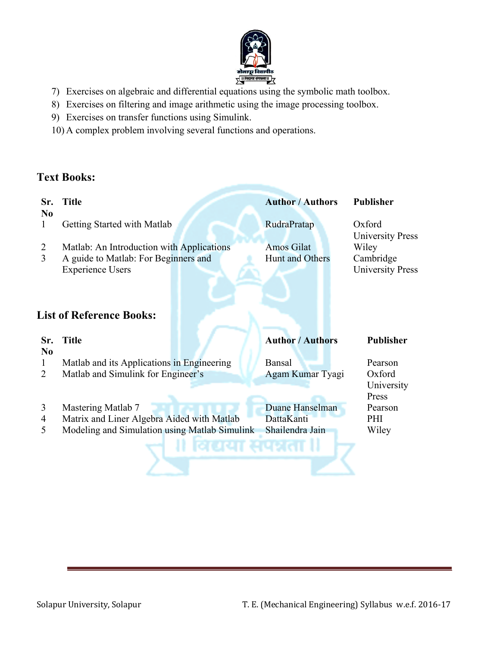

- 7) Exercises on algebraic and differential equations using the symbolic math toolbox.
- 8) Exercises on filtering and image arithmetic using the image processing toolbox.
- 9) Exercises on transfer functions using Simulink.
- 10) A complex problem involving several functions and operations.

### **Text Books:**

| Sr.                             | <b>Title</b>                                                                                                      | <b>Author / Authors</b>                          | <b>Publisher</b>                              |  |  |  |  |  |
|---------------------------------|-------------------------------------------------------------------------------------------------------------------|--------------------------------------------------|-----------------------------------------------|--|--|--|--|--|
| N <sub>0</sub><br>1             | Getting Started with Matlab                                                                                       | RudraPratap                                      | Oxford<br><b>University Press</b>             |  |  |  |  |  |
| 2<br>3                          | Matlab: An Introduction with Applications<br>A guide to Matlab: For Beginners and<br><b>Experience Users</b>      | <b>Amos Gilat</b><br>Hunt and Others             | Wiley<br>Cambridge<br><b>University Press</b> |  |  |  |  |  |
| <b>List of Reference Books:</b> |                                                                                                                   |                                                  |                                               |  |  |  |  |  |
| Sr.<br>N <sub>0</sub>           | <b>Title</b>                                                                                                      | <b>Author / Authors</b>                          | <b>Publisher</b>                              |  |  |  |  |  |
| 1<br>2                          | Matlab and its Applications in Engineering<br>Matlab and Simulink for Engineer's                                  | Bansal<br>Agam Kumar Tyagi                       | Pearson<br>Oxford<br>University               |  |  |  |  |  |
| 3<br>4<br>5                     | Mastering Matlab 7<br>Matrix and Liner Algebra Aided with Matlab<br>Modeling and Simulation using Matlab Simulink | Duane Hanselman<br>DattaKanti<br>Shailendra Jain | Press<br>Pearson<br>PHI<br>Wiley              |  |  |  |  |  |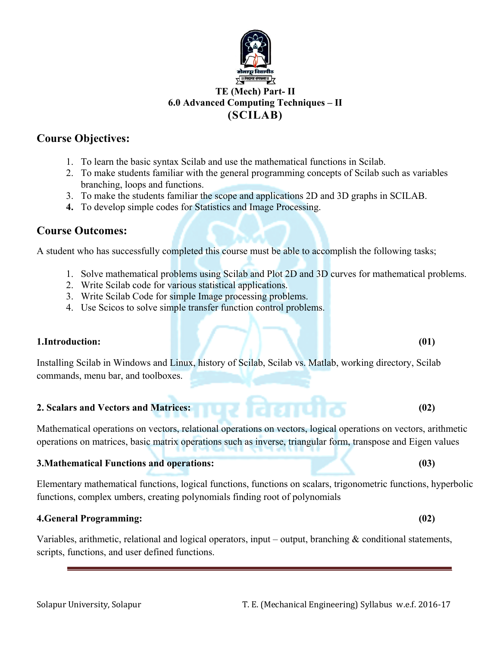# **TE (Mech) Part- II 6.0 Advanced Computing Techniques – II (SCILAB)**

### **Course Objectives:**

- 1. To learn the basic syntax Scilab and use the mathematical functions in Scilab.
- 2. To make students familiar with the general programming concepts of Scilab such as variables branching, loops and functions.
- 3. To make the students familiar the scope and applications 2D and 3D graphs in SCILAB.
- **4.** To develop simple codes for Statistics and Image Processing.

#### **Course Outcomes:**

A student who has successfully completed this course must be able to accomplish the following tasks;

- 1. Solve mathematical problems using Scilab and Plot 2D and 3D curves for mathematical problems.
- 2. Write Scilab code for various statistical applications.
- 3. Write Scilab Code for simple Image processing problems.
- 4. Use Scicos to solve simple transfer function control problems.

#### **1.Introduction:** (01)

Installing Scilab in Windows and Linux, history of Scilab, Scilab vs. Matlab, working directory, Scilab commands, menu bar, and toolboxes.

#### **2. Scalars and Vectors and Matrices: (02)**

Mathematical operations on vectors, relational operations on vectors, logical operations on vectors, arithmetic operations on matrices, basic matrix operations such as inverse, triangular form, transpose and Eigen values

#### **3.Mathematical Functions and operations: (03)**

Elementary mathematical functions, logical functions, functions on scalars, trigonometric functions, hyperbolic functions, complex umbers, creating polynomials finding root of polynomials

#### **4.General Programming: (02)**

Variables, arithmetic, relational and logical operators, input – output, branching  $\&$  conditional statements, scripts, functions, and user defined functions.

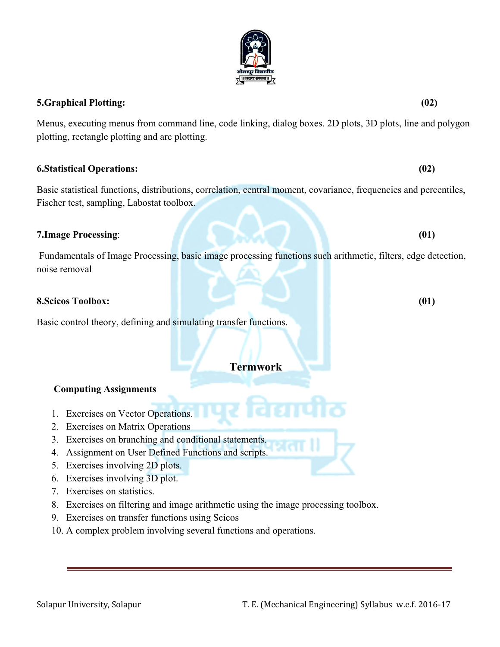### **5.Graphical Plotting: (02)**

Menus, executing menus from command line, code linking, dialog boxes. 2D plots, 3D plots, line and polygon plotting, rectangle plotting and arc plotting.

### **6.Statistical Operations: (02)**

Basic statistical functions, distributions, correlation, central moment, covariance, frequencies and percentiles, Fischer test, sampling, Labostat toolbox.

### **7.Image Processing**: **(01)**

 Fundamentals of Image Processing, basic image processing functions such arithmetic, filters, edge detection, noise removal

### **8.Scicos Toolbox:** (01)

Basic control theory, defining and simulating transfer functions.

### **Termwork**

### **Computing Assignments**

- 1. Exercises on Vector Operations.
- 2. Exercises on Matrix Operations
- 3. Exercises on branching and conditional statements.
- 4. Assignment on User Defined Functions and scripts.
- 5. Exercises involving 2D plots.
- 6. Exercises involving 3D plot.
- 7. Exercises on statistics.
- 8. Exercises on filtering and image arithmetic using the image processing toolbox.
- 9. Exercises on transfer functions using Scicos
- 10. A complex problem involving several functions and operations.



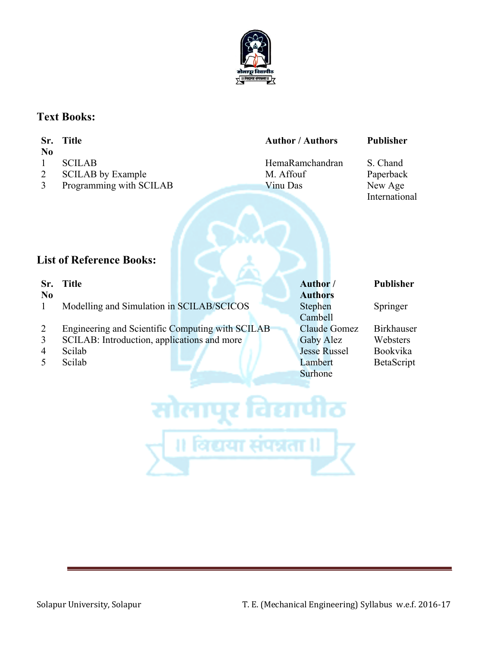

### **Text Books:**

| Sr.<br>N <sub>0</sub>                            | <b>Title</b>                                                                                                        |  |                                          | <b>Author / Authors</b>                                                              | Publisher                                               |  |  |
|--------------------------------------------------|---------------------------------------------------------------------------------------------------------------------|--|------------------------------------------|--------------------------------------------------------------------------------------|---------------------------------------------------------|--|--|
| $\mathbf{1}$<br>$\overline{2}$<br>$\overline{3}$ | <b>SCILAB</b><br><b>SCILAB</b> by Example<br>Programming with SCILAB                                                |  | HemaRamchandran<br>M. Affouf<br>Vinu Das |                                                                                      | S. Chand<br>Paperback<br>New Age<br>International       |  |  |
|                                                  | <b>List of Reference Books:</b>                                                                                     |  |                                          |                                                                                      |                                                         |  |  |
| Sr.                                              | <b>Title</b>                                                                                                        |  |                                          | Author/                                                                              | <b>Publisher</b>                                        |  |  |
| N <sub>0</sub><br>$\mathbf{1}$                   | Modelling and Simulation in SCILAB/SCICOS                                                                           |  |                                          | <b>Authors</b><br>Stephen<br>Cambell                                                 | Springer                                                |  |  |
| $\overline{2}$<br>$\overline{3}$<br>4<br>5       | Engineering and Scientific Computing with SCILAB<br>SCILAB: Introduction, applications and more<br>Scilab<br>Scilab |  |                                          | <b>Claude Gomez</b><br><b>Gaby Alez</b><br><b>Jesse Russel</b><br>Lambert<br>Surhone | <b>Birkhauser</b><br>Websters<br>Bookvika<br>BetaScript |  |  |
| ए विद्यापीठ                                      |                                                                                                                     |  |                                          |                                                                                      |                                                         |  |  |
| ।। विद्यया संपन्नता ॥                            |                                                                                                                     |  |                                          |                                                                                      |                                                         |  |  |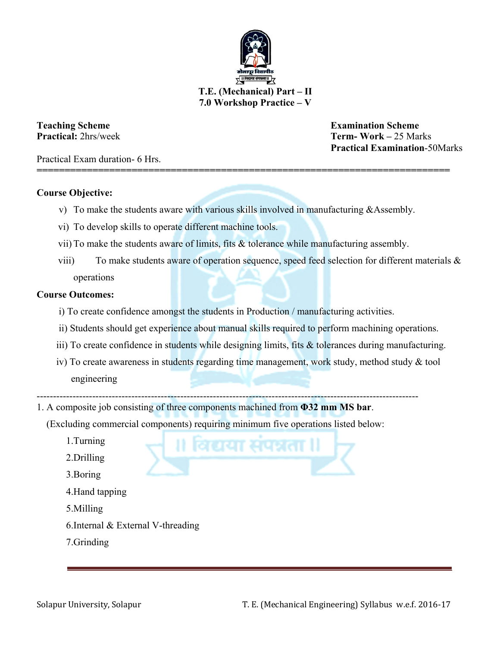

**Teaching Scheme Examination Scheme Practical:** 2hrs/week **Term- Work –** 25 Marks  **Practical Examination**-50Marks

Practical Exam duration- 6 Hrs.

#### **Course Objective:**

v) To make the students aware with various skills involved in manufacturing &Assembly.

**==========================================================================** 

- vi) To develop skills to operate different machine tools.
- vii) To make the students aware of limits, fits & tolerance while manufacturing assembly.
- viii) To make students aware of operation sequence, speed feed selection for different materials & operations

#### **Course Outcomes:**

- i) To create confidence amongst the students in Production / manufacturing activities.
- ii) Students should get experience about manual skills required to perform machining operations.
- iii) To create confidence in students while designing limits, fits & tolerances during manufacturing.
- iv) To create awareness in students regarding time management, work study, method study & tool engineering

।। विद्यया संपन्नता ।।

--------------------------------------------------------------------------------------------------------------------- 1. A composite job consisting of three components machined from **Φ32 mm MS bar**.

(Excluding commercial components) requiring minimum five operations listed below:

- 1.Turning
- 2.Drilling
- 3.Boring
- 4.Hand tapping
- 5.Milling
- 6.Internal & External V-threading
- 7.Grinding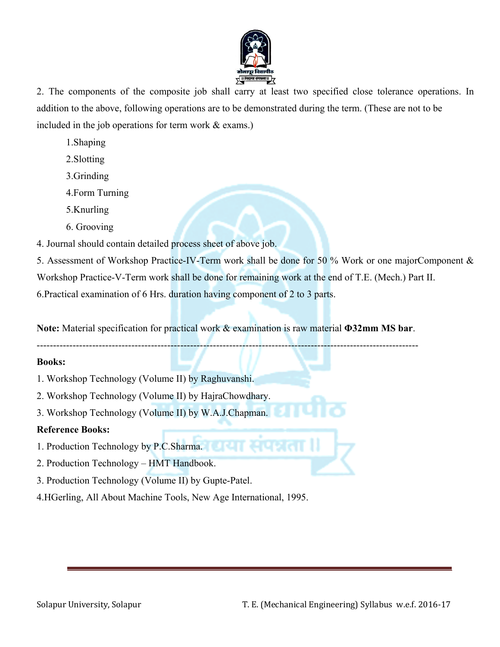

2. The components of the composite job shall carry at least two specified close tolerance operations. In addition to the above, following operations are to be demonstrated during the term. (These are not to be included in the job operations for term work & exams.)

- 1.Shaping
- 2.Slotting
- 3.Grinding
- 4.Form Turning
- 5.Knurling
- 6. Grooving

4. Journal should contain detailed process sheet of above job.

5. Assessment of Workshop Practice-IV-Term work shall be done for 50 % Work or one majorComponent &

Workshop Practice-V-Term work shall be done for remaining work at the end of T.E. (Mech.) Part II.

6.Practical examination of 6 Hrs. duration having component of 2 to 3 parts.

**Note:** Material specification for practical work & examination is raw material **Φ32mm MS bar**.

---------------------------------------------------------------------------------------------------------------------

#### **Books:**

- 1. Workshop Technology (Volume II) by Raghuvanshi.
- 2. Workshop Technology (Volume II) by HajraChowdhary.
- 3. Workshop Technology (Volume II) by W.A.J.Chapman.

#### **Reference Books:**

- 1. Production Technology by P.C.Sharma.
- 2. Production Technology HMT Handbook.
- 3. Production Technology (Volume II) by Gupte-Patel.
- 4.HGerling, All About Machine Tools, New Age International, 1995.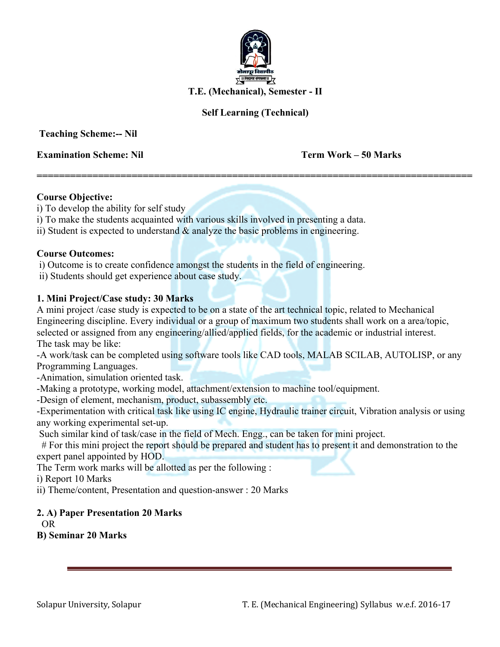

**T.E. (Mechanical), Semester - II** 

#### **Self Learning (Technical)**

**==============================================================================** 

 **Teaching Scheme:-- Nil** 

**Examination Scheme: Nil Term Work – 50 Marks Term Work – 50 Marks** 

#### **Course Objective:**

i) To develop the ability for self study

i) To make the students acquainted with various skills involved in presenting a data.

ii) Student is expected to understand  $\&$  analyze the basic problems in engineering.

#### **Course Outcomes:**

i) Outcome is to create confidence amongst the students in the field of engineering.

ii) Students should get experience about case study.

#### **1. Mini Project/Case study: 30 Marks**

A mini project /case study is expected to be on a state of the art technical topic, related to Mechanical Engineering discipline. Every individual or a group of maximum two students shall work on a area/topic, selected or assigned from any engineering/allied/applied fields, for the academic or industrial interest. The task may be like:

-A work/task can be completed using software tools like CAD tools, MALAB SCILAB, AUTOLISP, or any Programming Languages.

-Animation, simulation oriented task.

-Making a prototype, working model, attachment/extension to machine tool/equipment.

-Design of element, mechanism, product, subassembly etc.

-Experimentation with critical task like using IC engine, Hydraulic trainer circuit, Vibration analysis or using any working experimental set-up.

Such similar kind of task/case in the field of Mech. Engg., can be taken for mini project.

 # For this mini project the report should be prepared and student has to present it and demonstration to the expert panel appointed by HOD.

The Term work marks will be allotted as per the following :

i) Report 10 Marks

ii) Theme/content, Presentation and question-answer : 20 Marks

#### **2. A) Paper Presentation 20 Marks**  OR

#### **B) Seminar 20 Marks**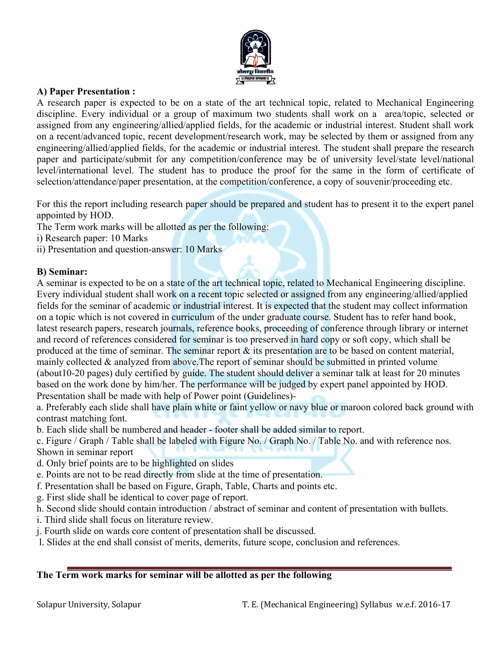

#### **A) Paper Presentation :**

A research paper is expected to be on a state of the art technical topic, related to Mechanical Engineering discipline. Every individual or a group of maximum two students shall work on a area/topic, selected or assigned from any engineering/allied/applied fields, for the academic or industrial interest. Student shall work on a recent/advanced topic, recent development/research work, may be selected by them or assigned from any engineering/allied/applied fields, for the academic or industrial interest. The student shall prepare the research paper and participate/submit for any competition/conference may be of university level/state level/national level/international level. The student has to produce the proof for the same in the form of certificate of selection/attendance/paper presentation, at the competition/conference, a copy of souvenir/proceeding etc.

For this the report including research paper should be prepared and student has to present it to the expert panel appointed by HOD.

The Term work marks will be allotted as per the following:

- i) Research paper: 10 Marks
- ii) Presentation and question-answer: 10 Marks

#### **B) Seminar:**

A seminar is expected to be on a state of the art technical topic, related to Mechanical Engineering discipline. Every individual student shall work on a recent topic selected or assigned from any engineering/allied/applied fields for the seminar of academic or industrial interest. It is expected that the student may collect information on a topic which is not covered in curriculum of the under graduate course. Student has to refer hand book, latest research papers, research journals, reference books, proceeding of conference through library or internet and record of references considered for seminar is too preserved in hard copy or soft copy, which shall be produced at the time of seminar. The seminar report & its presentation are to be based on content material, mainly collected & analyzed from above.The report of seminar should be submitted in printed volume (about10-20 pages) duly certified by guide. The student should deliver a seminar talk at least for 20 minutes based on the work done by him/her. The performance will be judged by expert panel appointed by HOD. Presentation shall be made with help of Power point (Guidelines)-

a. Preferably each slide shall have plain white or faint yellow or navy blue or maroon colored back ground with contrast matching font.

b. Each slide shall be numbered and header - footer shall be added similar to report.

c. Figure / Graph / Table shall be labeled with Figure No. / Graph No. / Table No. and with reference nos. Shown in seminar report

- d. Only brief points are to be highlighted on slides
- e. Points are not to be read directly from slide at the time of presentation.
- f. Presentation shall be based on Figure, Graph, Table, Charts and points etc.
- g. First slide shall be identical to cover page of report.
- h. Second slide should contain introduction / abstract of seminar and content of presentation with bullets.
- i. Third slide shall focus on literature review.
- j. Fourth slide on wards core content of presentation shall be discussed.
- l. Slides at the end shall consist of merits, demerits, future scope, conclusion and references.

#### **The Term work marks for seminar will be allotted as per the following**